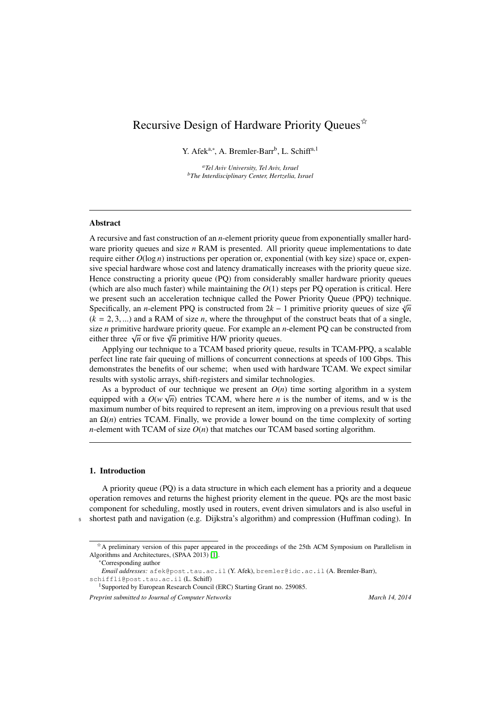## Recursive Design of Hardware Priority Oueues<sup> $\hat{\alpha}$ </sup>

Y. Afek<sup>a,∗</sup>, A. Bremler-Barr<sup>b</sup>, L. Schiff<sup>a,1</sup>

*<sup>a</sup>Tel Aviv University, Tel Aviv, Israel <sup>b</sup>The Interdisciplinary Center, Hertzelia, Israel*

#### Abstract

A recursive and fast construction of an *n*-element priority queue from exponentially smaller hardware priority queues and size *n* RAM is presented. All priority queue implementations to date require either  $O(\log n)$  instructions per operation or, exponential (with key size) space or, expensive special hardware whose cost and latency dramatically increases with the priority queue size. Hence constructing a priority queue (PQ) from considerably smaller hardware priority queues (which are also much faster) while maintaining the *O*(1) steps per PQ operation is critical. Here we present such an acceleration technique called the Power Priority Queue (PPQ) technique. Specifically, an *n*-element PPQ is constructed from 2*k* − 1 primitive priority queues of size *<sup>k</sup> n*  $(k = 2, 3, \ldots)$  and a RAM of size *n*, where the throughput of the construct beats that of a single, size *n* primitive hardware priority queue. For example an *n*-element PQ can be constructed from size *n* primitive nardware priority queue. For example an either three  $\sqrt{n}$  or five  $\sqrt[3]{n}$  primitive H/W priority queues.

Applying our technique to a TCAM based priority queue, results in TCAM-PPQ, a scalable perfect line rate fair queuing of millions of concurrent connections at speeds of 100 Gbps. This demonstrates the benefits of our scheme; when used with hardware TCAM. We expect similar results with systolic arrays, shift-registers and similar technologies.

As a byproduct of our technique we present an  $O(n)$  time sorting algorithm in a system equipped with a  $O(w\sqrt{n})$  entries TCAM, where here *n* is the number of items, and w is the maximum number of bits required to represent an item, improving on a previous result that used an  $\Omega(n)$  entries TCAM. Finally, we provide a lower bound on the time complexity of sorting *n*-element with TCAM of size  $O(n)$  that matches our TCAM based sorting algorithm.

#### 1. Introduction

A priority queue (PQ) is a data structure in which each element has a priority and a dequeue operation removes and returns the highest priority element in the queue. PQs are the most basic component for scheduling, mostly used in routers, event driven simulators and is also useful in <sup>5</sup> shortest path and navigation (e.g. Dijkstra's algorithm) and compression (Huffman coding). In

<sup>∗</sup>Corresponding author

<sup>✩</sup>A preliminary version of this paper appeared in the proceedings of the 25th ACM Symposium on Parallelism in Algorithms and Architectures, (SPAA 2013) [\[1\]](#page-16-0).

*Email addresses:* afek@post.tau.ac.il (Y. Afek), bremler@idc.ac.il (A. Bremler-Barr),

schiffli@post.tau.ac.il (L. Schiff)

<sup>&</sup>lt;sup>1</sup>Supported by European Research Council (ERC) Starting Grant no. 259085.

*Preprint submitted to Journal of Computer Networks March 14, 2014*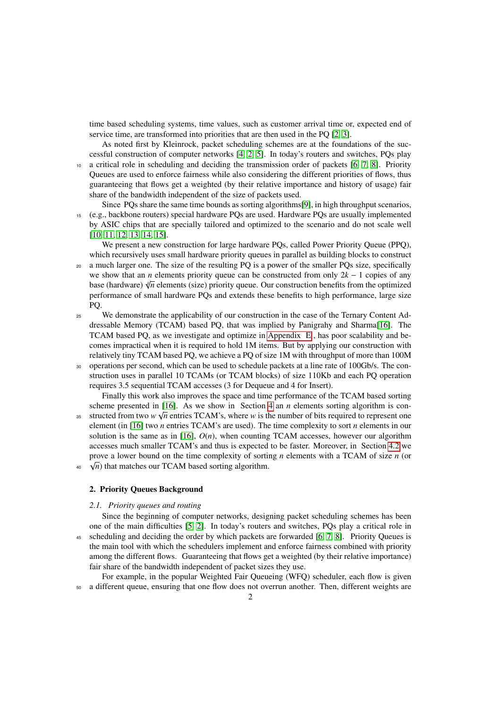time based scheduling systems, time values, such as customer arrival time or, expected end of service time, are transformed into priorities that are then used in the PO  $[2, 3]$  $[2, 3]$ .

As noted first by Kleinrock, packet scheduling schemes are at the foundations of the successful construction of computer networks [\[4,](#page-16-3) [2,](#page-16-1) [5\]](#page-16-4). In today's routers and switches, PQs play a critical role in scheduling and deciding the transmission order of packets [\[6,](#page-16-5) [7,](#page-16-6) [8\]](#page-16-7). Priority Queues are used to enforce fairness while also considering the different priorities of flows, thus

guaranteeing that flows get a weighted (by their relative importance and history of usage) fair share of the bandwidth independent of the size of packets used.

Since PQs share the same time bounds as sorting algorithms[\[9\]](#page-16-8), in high throughput scenarios, <sup>15</sup> (e.g., backbone routers) special hardware PQs are used. Hardware PQs are usually implemented by ASIC chips that are specially tailored and optimized to the scenario and do not scale well [\[10,](#page-16-9) [11,](#page-16-10) [12,](#page-16-11) [13,](#page-16-12) [14,](#page-16-13) [15\]](#page-16-14).

We present a new construction for large hardware PQs, called Power Priority Queue (PPQ), which recursively uses small hardware priority queues in parallel as building blocks to construct

- <sup>20</sup> a much larger one. The size of the resulting PQ is a power of the smaller PQs size, specifically we show that an *n* elements priority queue can be constructed from only 2*k* − 1 copies of any base (hardware)  $\sqrt[k]{n}$  elements (size) priority queue. Our construction benefits from the optimized performance of small hardware PQs and extends these benefits to high performance, large size PQ.
- <sup>25</sup> We demonstrate the applicability of our construction in the case of the Ternary Content Addressable Memory (TCAM) based PQ, that was implied by Panigrahy and Sharma[\[16\]](#page-16-15). The TCAM based PQ, as we investigate and optimize in [Appendix E](#page-23-0) , has poor scalability and becomes impractical when it is required to hold 1M items. But by applying our construction with relatively tiny TCAM based PQ, we achieve a PQ of size 1M with throughput of more than 100M
- <sup>30</sup> operations per second, which can be used to schedule packets at a line rate of 100Gb/s. The construction uses in parallel 10 TCAMs (or TCAM blocks) of size 110Kb and each PQ operation requires <sup>3</sup>.<sup>5</sup> sequential TCAM accesses (3 for Dequeue and <sup>4</sup> for Insert).

Finally this work also improves the space and time performance of the TCAM based sorting scheme presented in [\[16\]](#page-16-15). As we show in Section [4](#page-11-0) an *n* elements sorting algorithm is con-

<sup>35</sup> structed from two *w*  $\sqrt{n}$  entries TCAM's, where *w* is the number of bits required to represent one element (in [\[16\]](#page-16-15) two *n* entries TCAM's are used). The time complexity to sort *n* elements in our solution is the same as in [\[16\]](#page-16-15), *O*(*n*), when counting TCAM accesses, however our algorithm accesses much smaller TCAM's and thus is expected to be faster. Moreover, in Section [4.2](#page-11-1) we prove a lower bound on the time complexity of sorting *n* elements with a TCAM of size *n* (or

 $\sqrt{n}$ ) that matches our TCAM based sorting algorithm.

#### 2. Priority Queues Background

#### *2.1. Priority queues and routing*

Since the beginning of computer networks, designing packet scheduling schemes has been one of the main difficulties [\[5,](#page-16-4) [2\]](#page-16-1). In today's routers and switches, PQs play a critical role in <sup>45</sup> scheduling and deciding the order by which packets are forwarded [\[6,](#page-16-5) [7,](#page-16-6) [8\]](#page-16-7). Priority Queues is the main tool with which the schedulers implement and enforce fairness combined with priority among the different flows. Guaranteeing that flows get a weighted (by their relative importance) fair share of the bandwidth independent of packet sizes they use.

For example, in the popular Weighted Fair Queueing (WFQ) scheduler, each flow is given a different queue, ensuring that one flow does not overrun another. Then, different weights are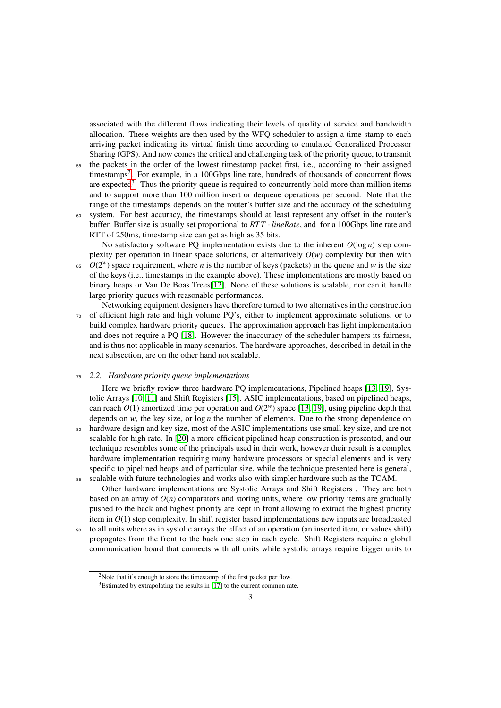associated with the different flows indicating their levels of quality of service and bandwidth allocation. These weights are then used by the WFQ scheduler to assign a time-stamp to each arriving packet indicating its virtual finish time according to emulated Generalized Processor Sharing (GPS). And now comes the critical and challenging task of the priority queue, to transmit

- <sup>55</sup> the packets in the order of the lowest timestamp packet first, i.e., according to their assigned timestamps<sup>[2](#page-2-0)</sup>. For example, in a 100Gbps line rate, hundreds of thousands of concurrent flows are expected<sup>[3](#page-2-1)</sup>. Thus the priority queue is required to concurrently hold more than million items and to support more than 100 million insert or dequeue operations per second. Note that the range of the timestamps depends on the router's buffer size and the accuracy of the scheduling
- <sup>60</sup> system. For best accuracy, the timestamps should at least represent any offset in the router's buffer. Buffer size is usually set proportional to  $RTT \cdot lineRate$ , and for a 100Gbps line rate and RTT of 250ms, timestamp size can get as high as 35 bits.

No satisfactory software PQ implementation exists due to the inherent  $O(\log n)$  step complexity per operation in linear space solutions, or alternatively  $O(w)$  complexity but then with

 $O(2^w)$  space requirement, where *n* is the number of keys (packets) in the queue and *w* is the size of the keys (i.e., timestamps in the example above). These implementations are mostly based on binary heaps or Van De Boas Trees[\[12\]](#page-16-11). None of these solutions is scalable, nor can it handle large priority queues with reasonable performances.

Networking equipment designers have therefore turned to two alternatives in the construction <sup>70</sup> of efficient high rate and high volume PQ's, either to implement approximate solutions, or to build complex hardware priority queues. The approximation approach has light implementation and does not require a PQ [\[18\]](#page-16-16). However the inaccuracy of the scheduler hampers its fairness, and is thus not applicable in many scenarios. The hardware approaches, described in detail in the next subsection, are on the other hand not scalable.

#### <sup>75</sup> *2.2. Hardware priority queue implementations*

Here we briefly review three hardware PQ implementations, Pipelined heaps [\[13,](#page-16-12) [19\]](#page-16-17), Systolic Arrays [\[10,](#page-16-9) [11\]](#page-16-10) and Shift Registers [\[15\]](#page-16-14). ASIC implementations, based on pipelined heaps, can reach  $O(1)$  amortized time per operation and  $O(2<sup>w</sup>)$  space [\[13,](#page-16-12) [19\]](#page-16-17), using pipeline depth that depends on  $w$ , the key size, or  $\log n$  the number of elements. Due to the strong dependence on <sup>80</sup> hardware design and key size, most of the ASIC implementations use small key size, and are not scalable for high rate. In [\[20\]](#page-16-18) a more efficient pipelined heap construction is presented, and our technique resembles some of the principals used in their work, however their result is a complex hardware implementation requiring many hardware processors or special elements and is very specific to pipelined heaps and of particular size, while the technique presented here is general, scalable with future technologies and works also with simpler hardware such as the TCAM.

Other hardware implementations are Systolic Arrays and Shift Registers . They are both based on an array of  $O(n)$  comparators and storing units, where low priority items are gradually pushed to the back and highest priority are kept in front allowing to extract the highest priority item in *O*(1) step complexity. In shift register based implementations new inputs are broadcasted

<sup>90</sup> to all units where as in systolic arrays the effect of an operation (an inserted item, or values shift) propagates from the front to the back one step in each cycle. Shift Registers require a global communication board that connects with all units while systolic arrays require bigger units to

<span id="page-2-0"></span><sup>&</sup>lt;sup>2</sup>Note that it's enough to store the timestamp of the first packet per flow.

<span id="page-2-1"></span> $3$ Estimated by extrapolating the results in [\[17\]](#page-16-19) to the current common rate.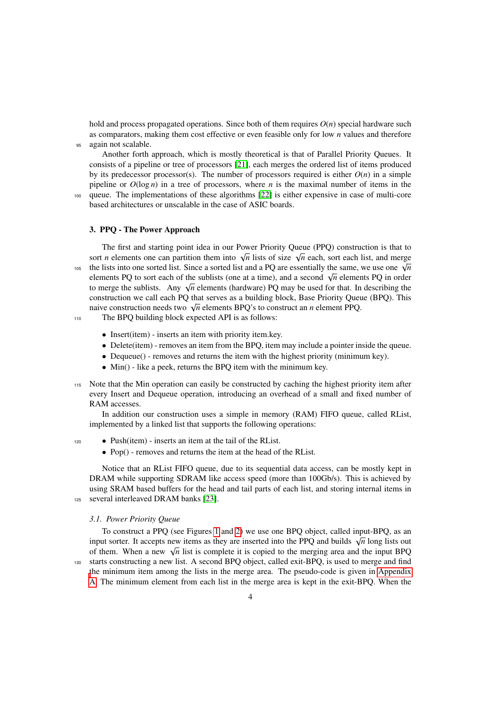hold and process propagated operations. Since both of them requires  $O(n)$  special hardware such as comparators, making them cost effective or even feasible only for low *n* values and therefore <sup>95</sup> again not scalable.

Another forth approach, which is mostly theoretical is that of Parallel Priority Queues. It consists of a pipeline or tree of processors [\[21\]](#page-16-20), each merges the ordered list of items produced by its predecessor processor(s). The number of processors required is either  $O(n)$  in a simple pipeline or  $O(\log n)$  in a tree of processors, where *n* is the maximal number of items in the

<sup>100</sup> queue. The implementations of these algorithms [\[22\]](#page-16-21) is either expensive in case of multi-core based architectures or unscalable in the case of ASIC boards.

## <span id="page-3-0"></span>3. PPQ - The Power Approach

The first and starting point idea in our Power Priority Queue (PPQ) construction is that to sort *n* elements one can partition them into  $\sqrt{n}$  lists of size  $\sqrt{n}$  each, sort each list, and merge the lists into one sorted list. Since a sorted list and a PQ are essentially the same, we use one  $\sqrt{n}$  the lists into one sorted list. Since a sorted list and a PQ are essentially the same, we use one  $\sqrt{n}$ elements PQ to sort each of the sublists (one at a time), and a second  $\sqrt{n}$  elements PQ in order the merge the sublists. Any  $\sqrt{n}$  elements (hardware) PQ may be used for that. In describing the to merge the sublists. Any  $\sqrt{n}$  elements (hardware) PQ may be used for that. In describing the construction we call each PQ that serves as a building block, Base Priority Queue (BPQ). This  $\alpha$  construction we can each  $PQ$  that serves as a building block, base Priority Quetaive construction needs two  $\sqrt{n}$  elements BPQ's to construct an *n* element PPQ.

- <sup>110</sup> The BPQ building block expected API is as follows:
	- Insert(item) inserts an item with priority item.key.
	- Delete(item) removes an item from the BPQ, item may include a pointer inside the queue.
	- Dequeue() removes and returns the item with the highest priority (minimum key).
	- Min() like a peek, returns the BPQ item with the minimum key.
- <sup>115</sup> Note that the Min operation can easily be constructed by caching the highest priority item after every Insert and Dequeue operation, introducing an overhead of a small and fixed number of RAM accesses.

In addition our construction uses a simple in memory (RAM) FIFO queue, called RList, implemented by a linked list that supports the following operations:

- <sup>120</sup> Push(item) inserts an item at the tail of the RList.
	- Pop() removes and returns the item at the head of the RList.

Notice that an RList FIFO queue, due to its sequential data access, can be mostly kept in DRAM while supporting SDRAM like access speed (more than 100Gb/s). This is achieved by using SRAM based buffers for the head and tail parts of each list, and storing internal items in <sup>125</sup> several interleaved DRAM banks [\[23\]](#page-17-0).

## *3.1. Power Priority Queue*

To construct a PPQ (see Figures [1](#page-4-0) and [2\)](#page-5-0) we use one BPQ object, called input-BPQ, as an input sorter. It accepts new items as they are inserted into the PPQ and builds  $\sqrt{n}$  long lists out input sorter. It accepts new items as they are inserted into the PPQ and builds  $\sqrt{n}$  long lists out of them. When a new  $\sqrt{n}$  list is complete it is copied to the merging area and the input BPQ <sup>130</sup> starts constructing a new list. A second BPQ object, called exit-BPQ, is used to merge and find [t](#page-17-1)he minimum item among the lists in the merge area. The pseudo-code is given in [Appendix](#page-17-1) [A.](#page-17-1) The minimum element from each list in the merge area is kept in the exit-BPQ. When the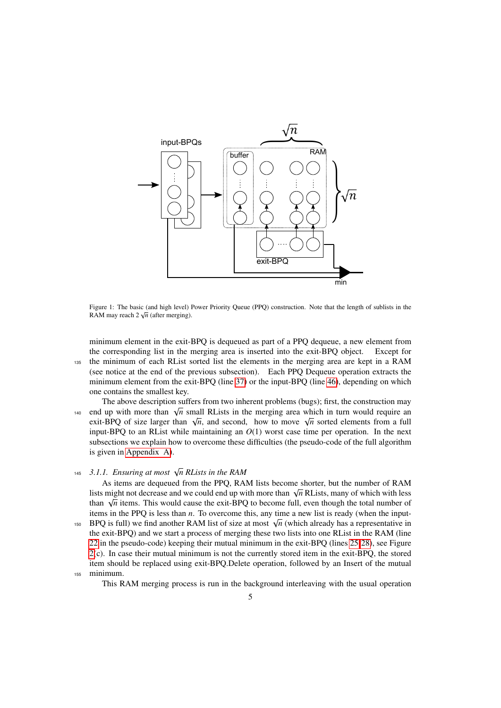

<span id="page-4-0"></span>Figure 1: The basic (and high level) Power Priority Queue (PPQ) construction. Note that the length of sublists in the new the Cost of the United States. RAM may reach  $2\sqrt{n}$  (after merging).

minimum element in the exit-BPQ is dequeued as part of a PPQ dequeue, a new element from the corresponding list in the merging area is inserted into the exit-BPQ object. Except for <sup>135</sup> the minimum of each RList sorted list the elements in the merging area are kept in a RAM (see notice at the end of the previous subsection). Each PPQ Dequeue operation extracts the minimum element from the exit-BPQ (line [37\)](#page-17-1) or the input-BPQ (line [46\)](#page-17-1), depending on which one contains the smallest key.

The above description suffers from two inherent problems (bugs); first, the construction may The above description surfers from two inferent problems (bugs), first, the construction may<br>than  $\sqrt{n}$  small RLists in the merging area which in turn would require an end up with more than  $\sqrt{n}$  small RLists in the merging area which in turn would require an exit-BPQ of size larger than  $\sqrt{n}$ , and second, how to move  $\sqrt{n}$  sorted elements from a full input-BPQ to an RList while maintaining an  $O(1)$  worst case time per operation. In the next subsections we explain how to overcome these difficulties (the pseudo-code of the full algorithm is given in [Appendix A\)](#page-17-1).

# *3.1.1. Ensuring at most* <sup>√</sup> <sup>145</sup> *n RLists in the RAM*

As items are dequeued from the PPQ, RAM lists become shorter, but the number of RAM As tiems are dequeded from the PPQ, KAM lists become shorter, but the number of KAM lists might not decrease and we could end up with more than  $\sqrt{n}$  RLists, many of which with less than  $\sqrt{n}$  items. This would cause the exit-BPQ to become full, even though the total number of than  $\sqrt{n}$  items. This would cause the exit-BPQ to become full, even though the total number of items in the PPQ is less than *n*. To overcome this, any time a new list is ready (when the input-The BPQ is full) we find another RAM list of size at most  $\sqrt{n}$  (which already has a representative in the exit-BPQ) and we start a process of merging these two lists into one RList in the RAM (line [22](#page-17-1) in the pseudo-code) keeping their mutual minimum in the exit-BPQ (lines [25-28\)](#page-17-1), see Figure [2\(](#page-5-0)c). In case their mutual minimum is not the currently stored item in the exit-BPQ, the stored item should be replaced using exit-BPQ.Delete operation, followed by an Insert of the mutual <sup>155</sup> minimum.

This RAM merging process is run in the background interleaving with the usual operation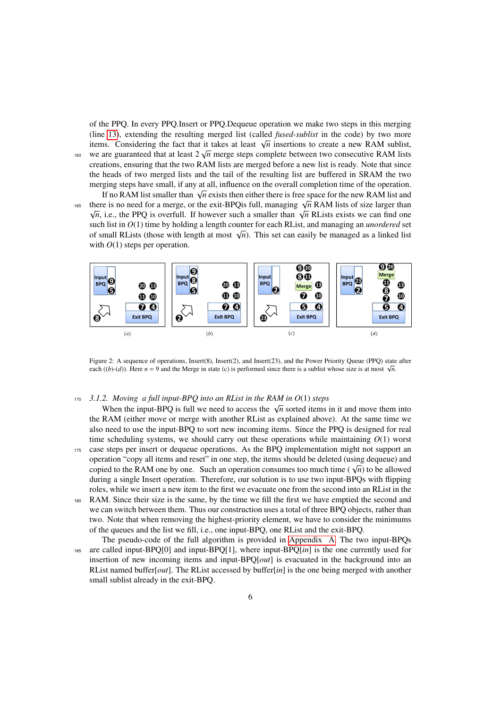of the PPQ. In every PPQ.Insert or PPQ.Dequeue operation we make two steps in this merging (line [13\)](#page-17-1), extending the resulting merged list (called *fused-sublist* in the code) by two more (interesting the resulting merged its called *jused-subitst* in the code) by two more items. Considering the fact that it takes at least  $\sqrt{n}$  insertions to create a new RAM sublist, <sup>160</sup> we are guaranteed that at least  $2\sqrt{n}$  merge steps complete between two consecutive RAM lists creations, ensuring that the two RAM lists are merged before a new list is ready. Note that since the heads of two merged lists and the tail of the resulting list are buffered in SRAM the two merging steps have small, if any at all, influence on the overall completion time of the operation. If no RAM list smaller than  $\sqrt{n}$  exists then either there is free space for the new RAM list and if the new RAM list and

The KAM list smaller than  $\sqrt{n}$  exists then either there is nee space for the new KAM list and<br>there is no need for a merge, or the exit-BPQis full, managing  $\sqrt{n}$  RAM lists of size larger than ere is no need for a merge, or the exit-**BPQ** is fun, managing  $\sqrt{n}$  KAM lists of size farger than  $\overline{n}$ , i.e., the PPQ is overfull. If however such a smaller than  $\sqrt{n}$  RLists exists we can find one such list in *O*(1) time by holding a length counter for each RList, and managing an *unordered* set such list in  $O(1)$  time by notaing a length counter for each RList, and managing an *unordered* set of small RLists (those with length at most  $\sqrt{n}$ ). This set can easily be managed as a linked list with  $O(1)$  steps per operation.



<span id="page-5-0"></span>Figure 2: A sequence of operations, Insert(8), Insert(2), and Insert(23), and the Power Priority Queue (PPQ) state after each ((*b*)-(*d*)). Here *n* = 9 and the Merge in state (c) is performed since there is a sublist whose size is at most  $\sqrt{n}$ .

#### <sup>170</sup> *3.1.2. Moving a full input-BPQ into an RList in the RAM in O*(1) *steps*

When the input-BPQ is full we need to access the  $\sqrt{n}$  sorted items in it and move them into the RAM (either move or merge with another RList as explained above). At the same time we also need to use the input-BPQ to sort new incoming items. Since the PPQ is designed for real time scheduling systems, we should carry out these operations while maintaining  $O(1)$  worst <sup>175</sup> case steps per insert or dequeue operations. As the BPQ implementation might not support an operation "copy all items and reset" in one step, the items should be deleted (using dequeue) and  $\alpha$  copied to the RAM one by one. Such an operation consumes too much time ( $\sqrt{n}$ ) to be allowed copied to the RAM one by one. Such an operation consumes too much time ( $\sqrt{n}$ ) to be allowed during a single Insert operation. Therefore, our solution is to use two input-BPQs with flipping roles, while we insert a new item to the first we evacuate one from the second into an RList in the

- <sup>180</sup> RAM. Since their size is the same, by the time we fill the first we have emptied the second and we can switch between them. Thus our construction uses a total of three BPQ objects, rather than two. Note that when removing the highest-priority element, we have to consider the minimums of the queues and the list we fill, i.e., one input-BPQ, one RList and the exit-BPQ.
- The pseudo-code of the full algorithm is provided in [Appendix A.](#page-17-1) The two input-BPQs <sup>185</sup> are called input-BPQ[0] and input-BPQ[1], where input-BPQ[*in*] is the one currently used for insertion of new incoming items and input-BPQ[*out*] is evacuated in the background into an RList named buffer[*out*]. The RList accessed by buffer[*in*] is the one being merged with another small sublist already in the exit-BPQ.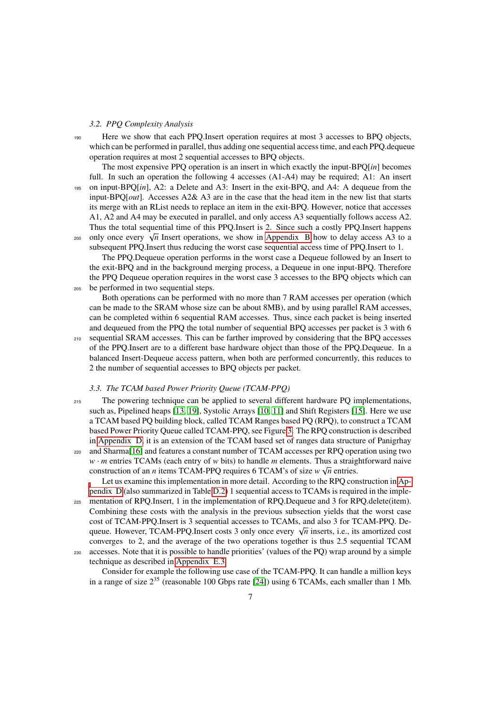#### *3.2. PPQ Complexity Analysis*

<sup>190</sup> Here we show that each PPQ.Insert operation requires at most 3 accesses to BPQ objects, which can be performed in parallel, thus adding one sequential access time, and each PPQ.dequeue operation requires at most 2 sequential accesses to BPQ objects.

The most expensive PPQ operation is an insert in which exactly the input-BPQ[*in*] becomes full. In such an operation the following 4 accesses (A1-A4) may be required; A1: An insert <sup>195</sup> on input-BPQ[*in*], A2: a Delete and A3: Insert in the exit-BPQ, and A4: A dequeue from the input-BPQ[*out*]. Accesses A2& A3 are in the case that the head item in the new list that starts its merge with an RList needs to replace an item in the exit-BPQ. However, notice that accesses A1, A2 and A4 may be executed in parallel, and only access A3 sequentially follows access A2. Thus the total sequential time of this PPQ.Insert is 2. Since such a costly PPQ.Insert happens Thus the total sequential time of this PPQ. Insert is 2. Since such a costly PPQ. Insert happent only once every  $\sqrt{n}$  Insert operations, we show in [Appendix B](#page-18-0) how to delay access A3 to a subsequent PPQ.Insert thus reducing the worst case sequential access time of PPQ.Insert to 1.

The PPQ.Dequeue operation performs in the worst case a Dequeue followed by an Insert to the exit-BPQ and in the background merging process, a Dequeue in one input-BPQ. Therefore the PPQ Dequeue operation requires in the worst case 3 accesses to the BPQ objects which can <sup>205</sup> be performed in two sequential steps.

Both operations can be performed with no more than 7 RAM accesses per operation (which can be made to the SRAM whose size can be about 8MB), and by using parallel RAM accesses, can be completed within 6 sequential RAM accesses. Thus, since each packet is being inserted and dequeued from the PPQ the total number of sequential BPQ accesses per packet is 3 with 6 <sup>210</sup> sequential SRAM accesses. This can be farther improved by considering that the BPQ accesses of the PPQ.Insert are to a different base hardware object than those of the PPQ.Dequeue. In a balanced Insert-Dequeue access pattern, when both are performed concurrently, this reduces to 2 the number of sequential accesses to BPQ objects per packet.

#### *3.3. The TCAM based Power Priority Queue (TCAM-PPQ)*

<sup>215</sup> The powering technique can be applied to several different hardware PQ implementations, such as, Pipelined heaps [\[13,](#page-16-12) [19\]](#page-16-17), Systolic Arrays [\[10,](#page-16-9) [11\]](#page-16-10) and Shift Registers [\[15\]](#page-16-14). Here we use a TCAM based PQ building block, called TCAM Ranges based PQ (RPQ), to construct a TCAM based Power Priority Queue called TCAM-PPQ, see Figure [3.](#page-7-0) The RPQ construction is described in [Appendix D,](#page-20-0) it is an extension of the TCAM based set of ranges data structure of Panigrhay

<sup>220</sup> and Sharma[\[16\]](#page-16-15) and features a constant number of TCAM accesses per RPQ operation using two *w* · *m* entries TCAMs (each entry of *w* bits) to handle *m* elements. Thus a straightforward naive construction of an *n* items TCAM-PPQ requires 6 TCAM's of size  $w \sqrt{n}$  entries.

Let us examine this implementation in more detail. According to the RPQ construction in [Ap](#page-20-0)[pendix D](#page-20-0) (also summarized in Table [D.2\)](#page-23-1) 1 sequential access to TCAMs is required in the imple-

<sup>225</sup> mentation of RPQ.Insert, 1 in the implementation of RPQ.Dequeue and 3 for RPQ.delete(item). Combining these costs with the analysis in the previous subsection yields that the worst case cost of TCAM-PPQ.Insert is 3 sequential accesses to TCAMs, and also 3 for TCAM-PPQ. De- $\alpha$  is a reduced in term of the sequential accesses to TCAMs, and also 3 for TCAM-PPQ. Dequeue. However, TCAM-PPQ.Insert costs 3 only once every  $\sqrt{n}$  inserts, i.e., its amortized cost converges to 2, and the average of the two operations together is thus <sup>2</sup>.<sup>5</sup> sequential TCAM accesses. Note that it is possible to handle priorities' (values of the PQ) wrap around by a simple

technique as described in [Appendix E.3.](#page-25-0)

Consider for example the following use case of the TCAM-PPQ. It can handle a million keys in a range of size  $2^{35}$  (reasonable 100 Gbps rate [\[24\]](#page-17-2)) using 6 TCAMs, each smaller than 1 Mb.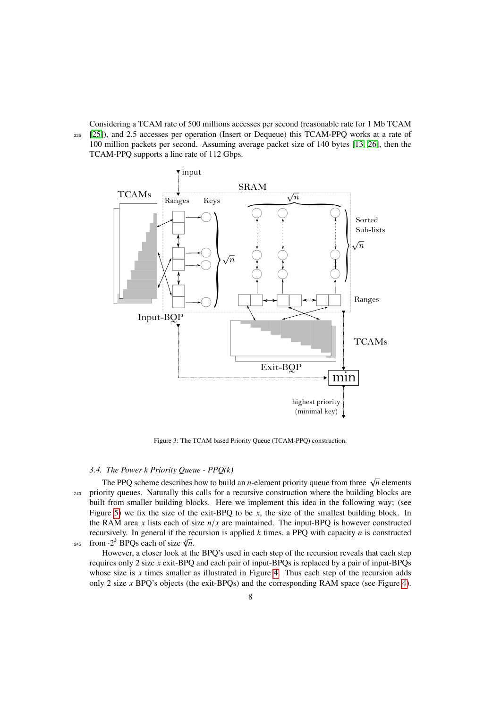Considering a TCAM rate of 500 millions accesses per second (reasonable rate for 1 Mb TCAM <sup>235</sup> [\[25\]](#page-17-3)), and <sup>2</sup>.<sup>5</sup> accesses per operation (Insert or Dequeue) this TCAM-PPQ works at a rate of 100 million packets per second. Assuming average packet size of 140 bytes [\[13,](#page-16-12) [26\]](#page-17-4), then the TCAM-PPQ supports a line rate of 112 Gbps.



Figure 3: The TCAM based Priority Queue (TCAM-PPQ) construction.

#### <span id="page-7-0"></span>*3.4. The Power k Priority Queue - PPQ(k)*

The PPQ scheme describes how to build an *n*-element priority queue from three  $\sqrt{n}$  elements <sup>240</sup> priority queues. Naturally this calls for a recursive construction where the building blocks are built from smaller building blocks. Here we implement this idea in the following way; (see Figure [5\)](#page-10-0) we fix the size of the exit-BPQ to be *x*, the size of the smallest building block. In the RAM area *x* lists each of size  $n/x$  are maintained. The input-BPQ is however constructed recursively. In general if the recursion is applied  $k$  times, a PPQ with capacity  $n$  is constructed 245 from  $\cdot 2^k$  BPQs each of size  $\sqrt[k]{n}$ .

However, a closer look at the BPQ's used in each step of the recursion reveals that each step requires only 2 size *x* exit-BPQ and each pair of input-BPQs is replaced by a pair of input-BPQs whose size is  $x$  times smaller as illustrated in Figure [4.](#page-8-0) Thus each step of the recursion adds only 2 size *x* BPQ's objects (the exit-BPQs) and the corresponding RAM space (see Figure [4\)](#page-8-0).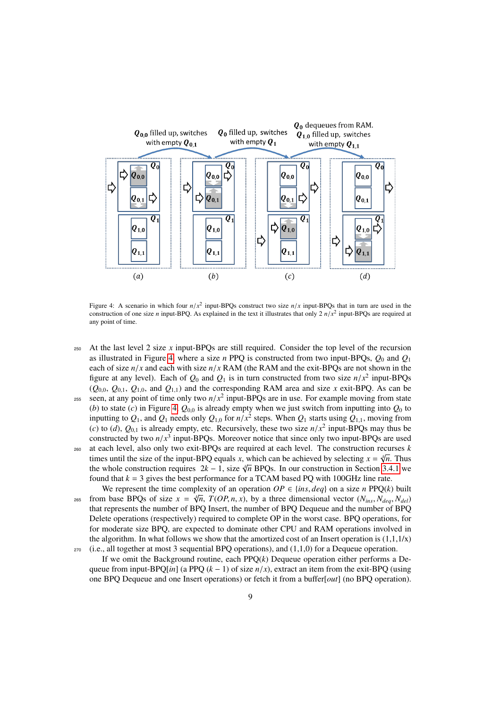

<span id="page-8-0"></span>Figure 4: A scenario in which four  $n/x^2$  input-BPQs construct two size  $n/x$  input-BPQs that in turn are used in the construction of one size *n* input-BPQ As explained in the text it illustrates that only  $2n/x^2$  input-B construction of one size *n* input-BPQ. As explained in the text it illustrates that only  $2 n/x^2$  input-BPQs are required at any point of time.

- <sup>250</sup> At the last level 2 size *x* input-BPQs are still required. Consider the top level of the recursion as illustrated in Figure [4,](#page-8-0) where a size *n* PPQ is constructed from two input-BPQs, *Q*<sup>0</sup> and *Q*<sup>1</sup> each of size  $n/x$  and each with size  $n/x$  RAM (the RAM and the exit-BPQs are not shown in the figure at any level). Each of  $Q_0$  and  $Q_1$  is in turn constructed from two size  $n/x^2$  input-BPQs<br>( $Q_0$ ,  $Q_2$ ,  $Q_3$ , and  $Q_4$ ,) and the corresponding RAM area and size *x* exit.RPQ, As can be  $(Q_{0,0}, Q_{0,1}, Q_{1,0}, \text{ and } Q_{1,1})$  and the corresponding RAM area and size *x* exit-BPQ. As can be
- seen, at any point of time only two  $n/x^2$  input-BPQs are in use. For example moving from state<br>(b) to state (c) in Figure 4.  $Q_0$  is already empty when we just switch from inputting into  $Q_0$  to (*b*) to state (*c*) in Figure [4,](#page-8-0)  $Q_{0,0}$  is already empty when we just switch from inputting into  $Q_0$  to inputting to  $Q_1$ , and  $Q_1$  needs only  $Q_{1,0}$  for  $n/x^2$  steps. When  $Q_1$  starts using  $Q_{1,1}$ , moving from  $(c)$  to  $(d)$ ,  $Q_2$ , is already empty, etc. Recursively, these two size  $n/x^2$  input-RPOs may thus be (*c*) to (*d*),  $Q_{0,1}$  is already empty, etc. Recursively, these two size  $n/x^2$  input-BPQs may thus be constructed by two  $n/x^3$  input-BPQs. Moreover notice that since only two input-BPQs are used constructed by two  $n/x^3$  input-BPQs. Moreover notice that since only two input-BPQs are used<br>at each level, also only two exit-BPQs are required at each level. The construction recurses *k*
- <sup>260</sup> at each level, also only two exit-BPQs are required at each level. The construction recurses *k* √ times until the size of the input-BPQ equals *x*, which can be achieved by selecting  $x = \sqrt[n]{n}$ . Thus the whole construction requires  $2k - 1$ , size  $\sqrt[n]{n}$  BPQs. In our construction in Section [3.4.1](#page-10-1) we found that  $k = 3$  gives the best performance for a TCAM based PQ with 100GHz line rate.
- We represent the time complexity of an operation  $OP \in \{ins, deg\}$  on a size *n* PPQ(*k*) built<br>p hase BPOs of size  $x = \sqrt[n]{p} TOP \, n \, x$ ) by a three dimensional vector  $(N_1, N_2, N_3)$ from base BPQs of size  $x = \sqrt[n]{n}$ ,  $T(OP, n, x)$ , by a three dimensional vector  $(N_{ins}, N_{deg}, N_{del})$  that represents the number of BPO Insert, the number of BPO Dequeue and the number of BPO that represents the number of BPQ Insert, the number of BPQ Dequeue and the number of BPQ Delete operations (respectively) required to complete OP in the worst case. BPQ operations, for for moderate size BPQ, are expected to dominate other CPU and RAM operations involved in the algorithm. In what follows we show that the amortized cost of an Insert operation is  $(1,1,1/x)$  $270$  (i.e., all together at most 3 sequential BPQ operations), and  $(1,1,0)$  for a Dequeue operation.
- If we omit the Background routine, each PPQ(*k*) Dequeue operation either performs a Dequeue from input-BPQ[*in*] (a PPQ  $(k - 1)$  of size  $n/x$ ), extract an item from the exit-BPQ (using one BPQ Dequeue and one Insert operations) or fetch it from a buffer[*out*] (no BPQ operation).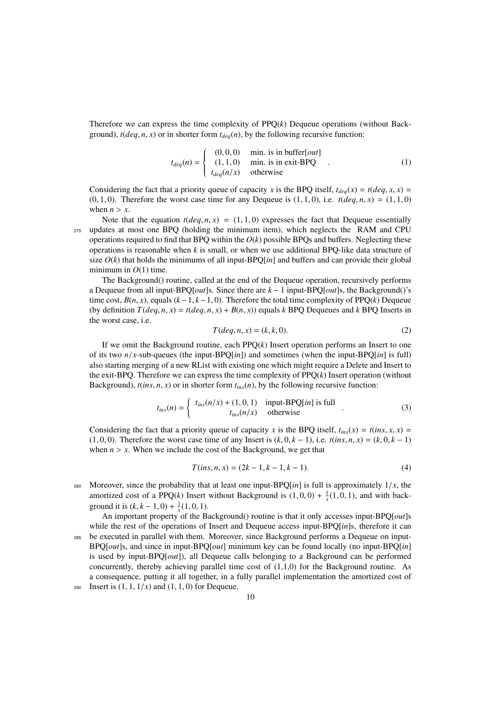Therefore we can express the time complexity of PPQ(*k*) Dequeue operations (without Background),  $t(deq, n, x)$  or in shorter form  $t_{deq}(n)$ , by the following recursive function:

$$
t_{deg}(n) = \begin{cases} (0,0,0) & \text{min. is in buffer} [out] \\ (1,1,0) & \text{min. is in exit-BPQ} \\ t_{deg}(n/x) & \text{otherwise} \end{cases}
$$
 (1)

Considering the fact that a priority queue of capacity *x* is the BPQ itself,  $t_{deg}(x) = t(deg, x, x) =$  $(0, 1, 0)$ . Therefore the worst case time for any Dequeue is  $(1, 1, 0)$ , i.e.  $t(\text{deg}, n, x) = (1, 1, 0)$ when  $n > x$ .

Note that the equation  $t(deq, n, x) = (1, 1, 0)$  expresses the fact that Dequeue essentially <sup>275</sup> updates at most one BPQ (holding the minimum item), which neglects the RAM and CPU operations required to find that BPQ within the  $O(k)$  possible BPQs and buffers. Neglecting these operations is reasonable when *k* is small, or when we use additional BPQ-like data structure of size  $O(k)$  that holds the minimums of all input-BPQ $[*in*]$  and buffers and can provide their global minimum in  $O(1)$  time.

The Background() routine, called at the end of the Dequeue operation, recursively performs a Dequeue from all input-BPQ[*out*]s. Since there are *k* − 1 input-BPQ[*out*]s, the Background()'s time cost,  $B(n, x)$ , equals  $(k-1, k-1, 0)$ . Therefore the total time complexity of PPO $(k)$  Dequeue (by definition  $T(deq, n, x) = t(deq, n, x) + B(n, x)$ ) equals *k* BPQ Dequeues and *k* BPQ Inserts in the worst case, i.e.

$$
T(\deg, n, x) = (k, k, 0). \tag{2}
$$

If we omit the Background routine, each PPQ(*k*) Insert operation performs an Insert to one of its two  $n/x$ -sub-queues (the input-BPQ[*in*]) and sometimes (when the input-BPQ[*in*] is full) also starting merging of a new RList with existing one which might require a Delete and Insert to the exit-BPQ. Therefore we can express the time complexity of PPQ(*k*) Insert operation (without Background),  $t(ns, n, x)$  or in shorter form  $t_{ins}(n)$ , by the following recursive function:

$$
t_{ins}(n) = \begin{cases} t_{ins}(n/x) + (1, 0, 1) & \text{input-BPQ}[in] \text{ is full} \\ t_{ins}(n/x) & \text{otherwise} \end{cases} \tag{3}
$$

Considering the fact that a priority queue of capacity *x* is the BPQ itself,  $t_{ins}(x) = t(ins, x, x)$ (1, 0, 0). Therefore the worst case time of any Insert is  $(k, 0, k - 1)$ , i.e.  $t(ins, n, x) = (k, 0, k - 1)$ when  $n > x$ . When we include the cost of the Background, we get that

$$
T-ins, n, x) = (2k - 1, k - 1, k - 1).
$$
\n(4)

- Moreover, since the probability that at least one input-BPQ $[in]$  is full is approximately  $1/x$ , the amortized cost of a PPQ(*k*) Insert without Background is  $(1, 0, 0) + \frac{1}{x}(1, 0, 1)$ , and with back-<br>ground it is (*k*,  $k = 1, 0$ ),  $\frac{1}{x}(1, 0, 1)$ ground it is  $(k, k - 1, 0) + \frac{1}{x}(1, 0, 1)$ .<br>An important property of the B
- An important property of the Background() routine is that it only accesses input-BPQ[*out*]s while the rest of the operations of Insert and Dequeue access input-BPQ[*in*]s, therefore it can <sup>285</sup> be executed in parallel with them. Moreover, since Background performs a Dequeue on input-BPQ[*out*]s, and since in input-BPQ[*out*] minimum key can be found locally (no input-BPQ[*in*] is used by input-BPQ[*out*]), all Dequeue calls belonging to a Background can be performed concurrently, thereby achieving parallel time cost of (1,1,0) for the Background routine. As a consequence, putting it all together, in a fully parallel implementation the amortized cost of 290 Insert is  $(1, 1, 1/x)$  and  $(1, 1, 0)$  for Dequeue.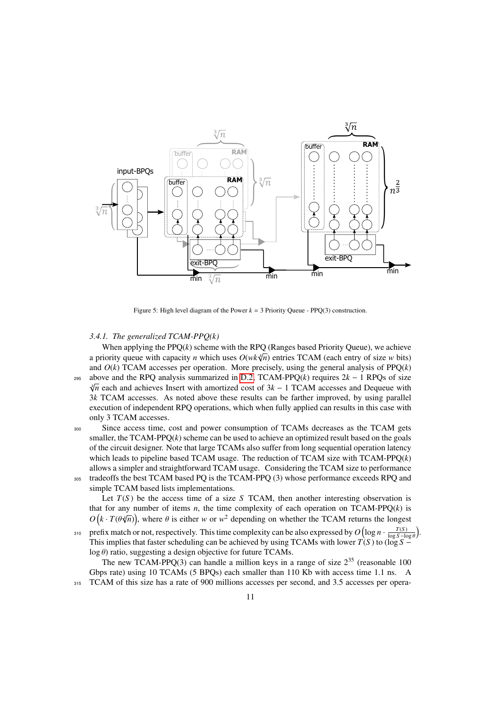

Figure 5: High level diagram of the Power  $k = 3$  Priority Queue - PPQ(3) construction.

## <span id="page-10-1"></span><span id="page-10-0"></span>*3.4.1. The generalized TCAM-PPQ(k)*

When applying the  $PPO(k)$  scheme with the RPO (Ranges based Priority Oueue), we achieve when applying the PPQ( $\kappa$ ) scheme with the KPQ (Kanges based Phority Quette), we achieve<br>a priority queue with capacity *n* which uses  $O(wk\sqrt[4]{n})$  entries TCAM (each entry of size *w* bits) and  $O(k)$  TCAM accesses per operation. More precisely, using the general analysis of  $PPQ(k)$ <sup>295</sup> above and the RPQ analysis summarized in [D.2,](#page-23-1) TCAM-PPQ(*k*) requires 2*k* − 1 RPQs of size √ *k*<sup> $pi$ </sup> each and achieves Insert with amortized cost of 3*k* − 1 TCAM accesses and Dequeue with 3*k* TCAM accesses. As noted above these results can be farther improved, by using parallel execution of independent RPQ operations, which when fully applied can results in this case with only 3 TCAM accesses.

<sup>300</sup> Since access time, cost and power consumption of TCAMs decreases as the TCAM gets smaller, the  $TCAM-PPO(k)$  scheme can be used to achieve an optimized result based on the goals of the circuit designer. Note that large TCAMs also suffer from long sequential operation latency which leads to pipeline based TCAM usage. The reduction of TCAM size with TCAM-PPQ(*k*) allows a simpler and straightforward TCAM usage. Considering the TCAM size to performance <sup>305</sup> tradeoffs the best TCAM based PQ is the TCAM-PPQ (3) whose performance exceeds RPQ and simple TCAM based lists implementations.

Let  $T(S)$  be the access time of a size *S* TCAM, then another interesting observation is that for any number of items *n*, the time complexity of each operation on TCAM-PPQ(*k*) is  $O(k \cdot T(\theta \sqrt[n]{n}))$ , where  $\theta$  is either *w* or *w*<sup>2</sup> depending on whether the TCAM returns the longest

prefix match or not, respectively. This time complexity can be also expressed by  $O(\log n \cdot \frac{T(S)}{\log S - \log \epsilon})$ 310 prefix match or not, respectively. This time complexity can be also expressed by  $O(\log n \cdot \frac{T(S)}{\log S - \log \beta})$ . This implies that faster scheduling can be achieved by using TCAMs with lower *T*(*S*) to (log *S* − log θ) ratio, suggesting a design objective for future TCAMs.<br>The new TCAM-PPQ(3) can handle a million keys in a range of size  $2^{35}$  (reasonable 100

Gbps rate) using <sup>10</sup> TCAMs (5 BPQs) each smaller than <sup>110</sup> Kb with access time <sup>1</sup>.<sup>1</sup> ns. A 315 TCAM of this size has a rate of 900 millions accesses per second, and 3.5 accesses per opera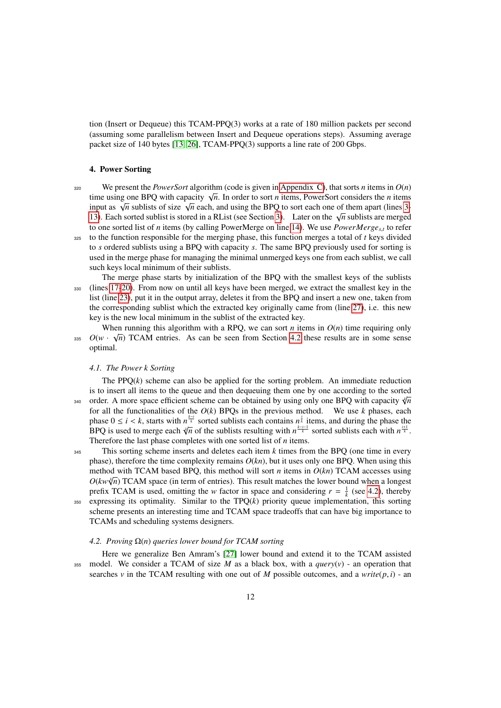tion (Insert or Dequeue) this TCAM-PPQ(3) works at a rate of 180 million packets per second (assuming some parallelism between Insert and Dequeue operations steps). Assuming average packet size of 140 bytes [\[13,](#page-16-12) [26\]](#page-17-4), TCAM-PPQ(3) supports a line rate of 200 Gbps.

#### <span id="page-11-0"></span>4. Power Sorting

320 We present the *PowerSort* algorithm (code is given in [Appendix C\)](#page-19-0), that sorts *n* items in  $O(n)$ time using one BPQ with capacity  $\sqrt{n}$ . In order to sort *n* items, PowerSort considers the *n* items time using one BPQ with capacity  $\sqrt{n}$ . In order to sort *n* items, PowerSort considers the *n* items inne using one BFQ with capacity  $\sqrt{n}$ . In order to sort *n* hems, Fowersort considers the *n* hems<br>input as  $\sqrt{n}$  sublists of size  $\sqrt{n}$  each, and using the BPQ to sort each one of them apart (lines [3-](#page-19-0) the distribution of the solution of the state of the final term of the solution of the solution of the solution of the solution of [13\)](#page-19-0). Each sorted sublist is stored in a RList (see Section [3\)](#page-3-0). Later on the  $\sqrt{n}$  sublist to one sorted list of *n* items (by calling PowerMerge on line [14\)](#page-19-0). We use *PowerMerge<sub>st</sub>*, to refer <sup>325</sup> to the function responsible for the merging phase, this function merges a total of *t* keys divided to *s* ordered sublists using a BPQ with capacity *s*. The same BPQ previously used for sorting is used in the merge phase for managing the minimal unmerged keys one from each sublist, we call

such keys local minimum of their sublists. The merge phase starts by initialization of the BPQ with the smallest keys of the sublists <sup>330</sup> (lines [17-20\)](#page-19-0). From now on until all keys have been merged, we extract the smallest key in the list (line [23\)](#page-19-0), put it in the output array, deletes it from the BPQ and insert a new one, taken from

the corresponding sublist which the extracted key originally came from (line [27\)](#page-19-0), i.e. this new key is the new local minimum in the sublist of the extracted key.

When running this algorithm with a RPQ, we can sort *n* items in  $O(n)$  time requiring only 335  $O(w \cdot \sqrt{n})$  TCAM entries. As can be seen from Section [4.2](#page-11-1) these results are in some sense optimal.

#### *4.1. The Power k Sorting*

The  $PPQ(k)$  scheme can also be applied for the sorting problem. An immediate reduction is to insert all items to the queue and then dequeuing them one by one according to the sorted 340 order. A more space efficient scheme can be obtained by using only one BPQ with capacity  $\sqrt[n]{n}$ for all the functionalities of the *O*(*k*) BPQs in the previous method. We use *k* phases, each phase  $0 \le i \le k$ , starts with  $n^{\frac{k-i}{k}}$  sorted sublists each contains  $n^{\frac{i}{k}}$  items, and during the phase the RPO is used to merge each  $\sqrt[k]{n}$  of the sublists resulting with  $n^{\frac{i+1}{k}}$  sorted sublists each with  $n$ BPQ is used to merge each  $\sqrt[n]{n}$  of the sublists resulting with  $n^{\frac{k-i-1}{k}}$  sorted sublists each with  $n^{\frac{i+1}{k}}$ . Therefore the last phase completes with one sorted list of *n* items.

<sup>345</sup> This sorting scheme inserts and deletes each item *k* times from the BPQ (one time in every phase), therefore the time complexity remains  $O(kn)$ , but it uses only one BPQ. When using this method with TCAM based BPQ, this method will sort *n* items in  $O(kn)$  TCAM accesses using  $O(kw\sqrt[4]{n})$  TCAM space (in term of entries). This result matches the lower bound when a longest prefix TCAM is used, omitting the *w* factor in space and considering  $r = \frac{1}{k}$  (see [4.2\)](#page-11-1), thereby <sup>350</sup> expressing its optimality. Similar to the TPQ(*k*) priority queue implementation, this sorting scheme presents an interesting time and TCAM space tradeoffs that can have big importance to TCAMs and scheduling systems designers.

#### <span id="page-11-1"></span>*4.2. Proving* Ω(*n*) *queries lower bound for TCAM sorting*

Here we generalize Ben Amram's [\[27\]](#page-17-5) lower bound and extend it to the TCAM assisted 355 model. We consider a TCAM of size *M* as a black box, with a *query*( $v$ ) - an operation that searches *v* in the TCAM resulting with one out of *M* possible outcomes, and a *write*( $p$ , *i*) - an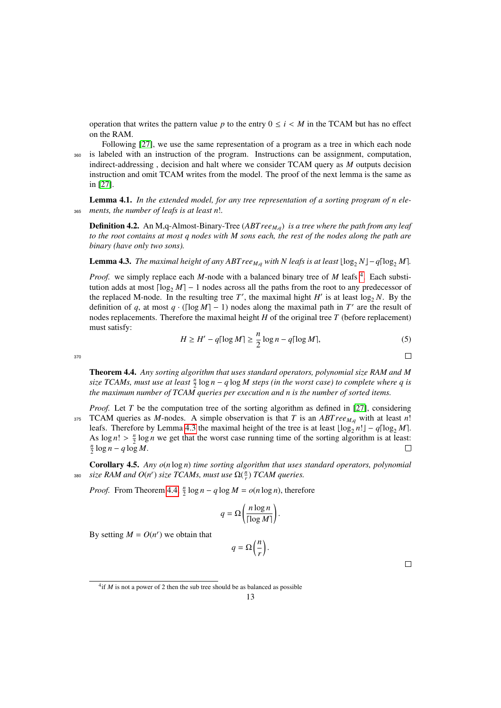operation that writes the pattern value *p* to the entry  $0 \le i \le M$  in the TCAM but has no effect on the RAM.

Following [\[27\]](#page-17-5), we use the same representation of a program as a tree in which each node <sup>360</sup> is labeled with an instruction of the program. Instructions can be assignment, computation, indirect-addressing , decision and halt where we consider TCAM query as *M* outputs decision instruction and omit TCAM writes from the model. The proof of the next lemma is the same as in [\[27\]](#page-17-5).

Lemma 4.1. *In the extended model, for any tree representation of a sorting program of n ele-*<sup>365</sup> *ments, the number of leafs is at least n*!*.*

Definition 4.2. An M,q-Almost-Binary-Tree (*ABT reeM*,*q*) *is a tree where the path from any leaf to the root contains at most q nodes with M sons each, the rest of the nodes along the path are binary (have only two sons).*

<span id="page-12-1"></span>**Lemma 4.3.** *The maximal height of any ABT ree<sub><i>M*,*q*</sub> with *N leafs is at least*  $\lfloor \log_2 N \rfloor - q \lceil \log_2 M \rceil$ .

*Proof.* we simply replace each *M*-node with a balanced binary tree of *M* leafs <sup>[4](#page-12-0)</sup>. Each substitution adds at most  $\lceil \log_2 M \rceil - 1$  nodes across all the paths from the root to any predecessor of the replaced M-node. In the resulting tree  $T'$ , the maximal hight  $H'$  is at least  $\log_2 N$ . By the definition of *q*, at most  $q \cdot (\log M - 1)$  nodes along the maximal path in *T'* are the result of nodes replacements. Therefore the maximal height *H* of the original tree *T* (before replacement) must satisfy:

$$
H \ge H' - q\lceil \log M \rceil \ge \frac{n}{2} \log n - q\lceil \log M \rceil,\tag{5}
$$

370

<span id="page-12-2"></span>Theorem 4.4. *Any sorting algorithm that uses standard operators, polynomial size RAM and M* size TCAMs, must use at least  $\frac{n}{2} \log n - q \log M$  steps (in the worst case) to complete where q is *the maximum number of TCAM queries per execution and n is the number of sorted items.*

*Proof.* Let *T* be the computation tree of the sorting algorithm as defined in [\[27\]](#page-17-5), considering <sup>375</sup> TCAM queries as *<sup>M</sup>*-nodes. A simple observation is that *<sup>T</sup>* is an *ABT ree<sup>M</sup>*,*<sup>q</sup>* with at least *<sup>n</sup>*! leafs. Therefore by Lemma [4.3](#page-12-1) the maximal height of the tree is at least  $\lfloor \log_2 n! \rfloor - q \lceil \log_2 M \rceil$ . As  $\log n! > \frac{n}{2} \log n$  we get that the worst case running time of the sorting algorithm is at least:  $\frac{n}{2}$  log *n* − *q* log *M*.  $\Box$ 

<span id="page-12-3"></span>Corollary 4.5. *Any o*(*n* log *n*) *time sorting algorithm that uses standard operators, polynomial* 380 *size RAM and*  $O(n^r)$  *size TCAMs, must use*  $\Omega(\frac{n}{r})$  *TCAM queries.* 

*Proof.* From Theorem [4.4,](#page-12-2)  $\frac{n}{2} \log n - q \log M = o(n \log n)$ , therefore

$$
q = \Omega\bigg(\frac{n\log n}{\lceil \log M \rceil}\bigg).
$$

By setting  $M = O(n^r)$  we obtain that

$$
q = \Omega\left(\frac{n}{r}\right).
$$

 $\Box$ 

 $\Box$ 

<span id="page-12-0"></span> $^{4}$ if *M* is not a power of 2 then the sub tree should be as balanced as possible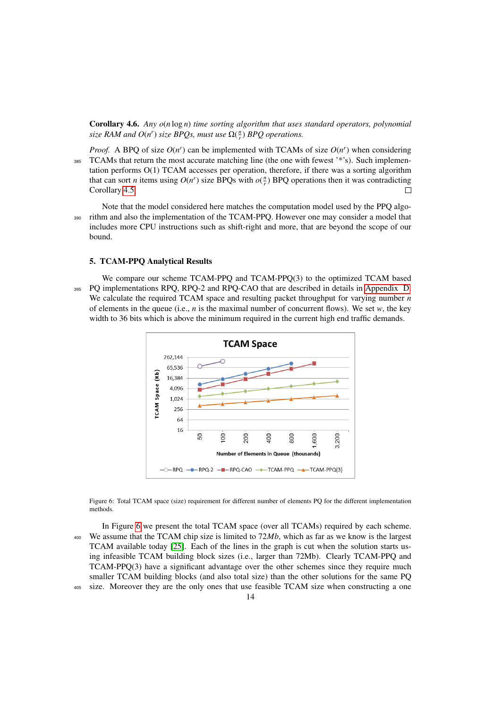Corollary 4.6. *Any o*(*n* log *n*) *time sorting algorithm that uses standard operators, polynomial size RAM and*  $O(n^r)$  *size BPQs, must use*  $\Omega(\frac{n}{r})$  *BPQ operations.* 

*Proof.* A BPQ of size  $O(n^r)$  can be implemented with TCAMs of size  $O(n^r)$  when considering <sup>385</sup> TCAMs that return the most accurate matching line (the one with fewest '\*'s). Such implementation performs O(1) TCAM accesses per operation, therefore, if there was a sorting algorithm that can sort *n* items using  $O(n^r)$  size BPQs with  $o(\frac{n}{r})$  BPQ operations then it was contradicting Corollary [4.5.](#page-12-3)  $\Box$ 

Note that the model considered here matches the computation model used by the PPQ algo-<sup>390</sup> rithm and also the implementation of the TCAM-PPQ. However one may consider a model that includes more CPU instructions such as shift-right and more, that are beyond the scope of our bound.

## 5. TCAM-PPQ Analytical Results

We compare our scheme TCAM-PPQ and TCAM-PPQ(3) to the optimized TCAM based <sup>395</sup> PQ implementations RPQ, RPQ-2 and RPQ-CAO that are described in details in [Appendix D.](#page-20-0) We calculate the required TCAM space and resulting packet throughput for varying number *n* of elements in the queue (i.e., *n* is the maximal number of concurrent flows). We set *w*, the key width to 36 bits which is above the minimum required in the current high end traffic demands.



<span id="page-13-0"></span>Figure 6: Total TCAM space (size) requirement for different number of elements PQ for the different implementation methods.

In Figure [6](#page-13-0) we present the total TCAM space (over all TCAMs) required by each scheme. <sup>400</sup> We assume that the TCAM chip size is limited to 72*Mb*, which as far as we know is the largest TCAM available today [\[25\]](#page-17-3). Each of the lines in the graph is cut when the solution starts using infeasible TCAM building block sizes (i.e., larger than 72Mb). Clearly TCAM-PPQ and TCAM-PPQ(3) have a significant advantage over the other schemes since they require much smaller TCAM building blocks (and also total size) than the other solutions for the same PQ <sup>405</sup> size. Moreover they are the only ones that use feasible TCAM size when constructing a one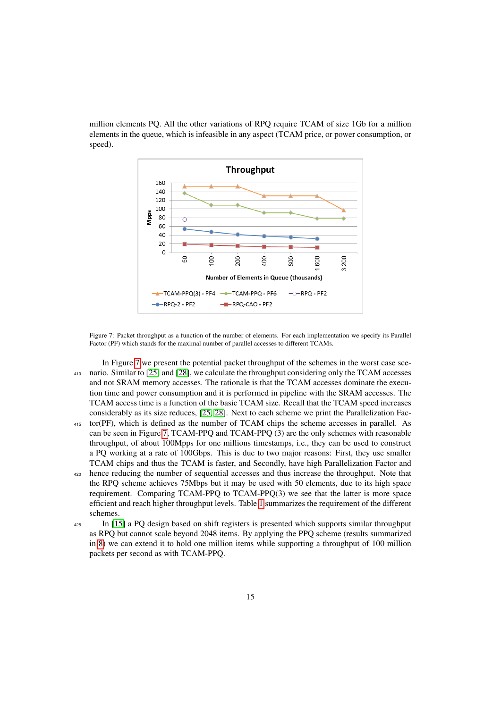million elements PQ. All the other variations of RPQ require TCAM of size 1Gb for a million elements in the queue, which is infeasible in any aspect (TCAM price, or power consumption, or speed).



<span id="page-14-0"></span>Figure 7: Packet throughput as a function of the number of elements. For each implementation we specify its Parallel Factor (PF) which stands for the maximal number of parallel accesses to different TCAMs.

In Figure [7](#page-14-0) we present the potential packet throughput of the schemes in the worst case sce-<sup>410</sup> nario. Similar to [\[25\]](#page-17-3) and [\[28\]](#page-17-6), we calculate the throughput considering only the TCAM accesses and not SRAM memory accesses. The rationale is that the TCAM accesses dominate the execution time and power consumption and it is performed in pipeline with the SRAM accesses. The TCAM access time is a function of the basic TCAM size. Recall that the TCAM speed increases considerably as its size reduces, [\[25,](#page-17-3) [28\]](#page-17-6). Next to each scheme we print the Parallelization Fac-

- <sup>415</sup> tor(PF), which is defined as the number of TCAM chips the scheme accesses in parallel. As can be seen in Figure [7,](#page-14-0) TCAM-PPQ and TCAM-PPQ (3) are the only schemes with reasonable throughput, of about 100Mpps for one millions timestamps, i.e., they can be used to construct a PQ working at a rate of 100Gbps. This is due to two major reasons: First, they use smaller TCAM chips and thus the TCAM is faster, and Secondly, have high Parallelization Factor and
- <sup>420</sup> hence reducing the number of sequential accesses and thus increase the throughput. Note that the RPQ scheme achieves 75Mbps but it may be used with 50 elements, due to its high space requirement. Comparing TCAM-PPQ to TCAM-PPQ(3) we see that the latter is more space efficient and reach higher throughput levels. Table [1](#page-15-0) summarizes the requirement of the different schemes.
- <sup>425</sup> In [\[15\]](#page-16-14) a PQ design based on shift registers is presented which supports similar throughput as RPQ but cannot scale beyond 2048 items. By applying the PPQ scheme (results summarized in [8\)](#page-15-1) we can extend it to hold one million items while supporting a throughput of 100 million packets per second as with TCAM-PPQ.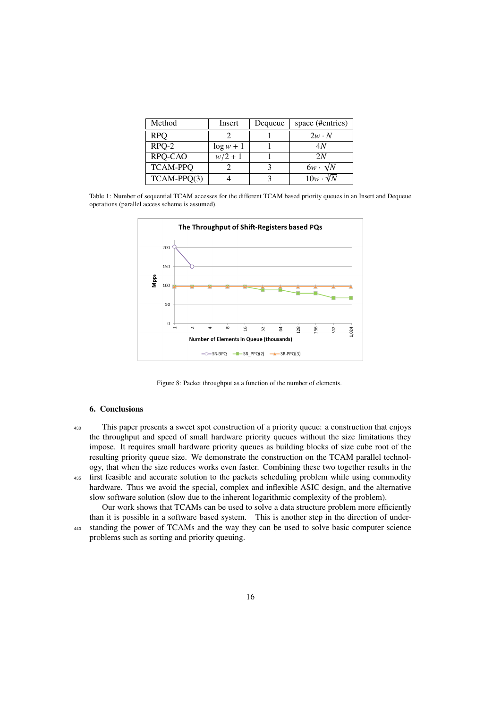<span id="page-15-0"></span>

| Method          | Insert       | Dequeue | space (#entries)        |
|-----------------|--------------|---------|-------------------------|
| <b>RPO</b>      |              |         | $2w \cdot N$            |
| $RPO-2$         | $\log w + 1$ |         | 4N                      |
| RPQ-CAO         | $w/2 + 1$    |         | 2N                      |
| <b>TCAM-PPQ</b> |              |         | $6w \cdot \sqrt{N}$     |
| $TCAM-PPQ(3)$   |              |         | $10w \cdot \sqrt[3]{N}$ |

Table 1: Number of sequential TCAM accesses for the different TCAM based priority queues in an Insert and Dequeue operations (parallel access scheme is assumed).



Figure 8: Packet throughput as a function of the number of elements.

## <span id="page-15-1"></span>6. Conclusions

<sup>430</sup> This paper presents a sweet spot construction of a priority queue: a construction that enjoys the throughput and speed of small hardware priority queues without the size limitations they impose. It requires small hardware priority queues as building blocks of size cube root of the resulting priority queue size. We demonstrate the construction on the TCAM parallel technology, that when the size reduces works even faster. Combining these two together results in the <sup>435</sup> first feasible and accurate solution to the packets scheduling problem while using commodity hardware. Thus we avoid the special, complex and inflexible ASIC design, and the alternative

slow software solution (slow due to the inherent logarithmic complexity of the problem). Our work shows that TCAMs can be used to solve a data structure problem more efficiently than it is possible in a software based system. This is another step in the direction of under-

<sup>440</sup> standing the power of TCAMs and the way they can be used to solve basic computer science problems such as sorting and priority queuing.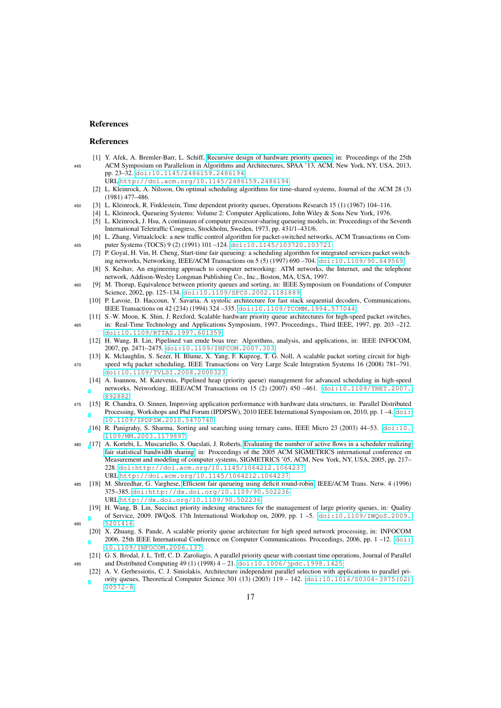## References

#### <span id="page-16-0"></span>References

- [1] Y. Afek, A. Bremler-Barr, L. Schiff, [Recursive design of hardware priority queues,](http://doi.acm.org/10.1145/2486159.2486194) in: Proceedings of the 25th <sup>445</sup> ACM Symposium on Parallelism in Algorithms and Architectures, SPAA '13, ACM, New York, NY, USA, 2013, pp. 23–32. [doi:10.1145/2486159.2486194](http://dx.doi.org/10.1145/2486159.2486194).
	- URL <http://doi.acm.org/10.1145/2486159.2486194>
	- [2] L. Kleinrock, A. Nilsson, On optimal scheduling algorithms for time-shared systems, Journal of the ACM 28 (3) (1981) 477–486.
- <span id="page-16-4"></span><span id="page-16-3"></span><span id="page-16-2"></span><span id="page-16-1"></span><sup>450</sup> [3] L. Kleinrock, R. Finklestein, Time dependent priority queues, Operations Research 15 (1) (1967) 104–116.
	- [4] L. Kleinrock, Queueing Systems: Volume 2: Computer Applications, John Wiley & Sons New York, 1976. [5] L. Kleinrock, J. Hsu, A continuum of computer processor-sharing queueing models, in: Proceedings of the Seventh International Teletraffic Congress, Stockholm, Sweden, 1973, pp. 431/1–431/6.
- <span id="page-16-6"></span><span id="page-16-5"></span>[6] L. Zhang, Virtualclock: a new traffic control algorithm for packet-switched networks, ACM Transactions on Com-<sup>455</sup> puter Systems (TOCS) 9 (2) (1991) 101 –124. [doi:10.1145/103720.103721](http://dx.doi.org/10.1145/103720.103721).
	- [7] P. Goyal, H. Vin, H. Cheng, Start-time fair queueing: a scheduling algorithm for integrated services packet switching networks, Networking, IEEE/ACM Transactions on 5 (5) (1997) 690 –704. [doi:10.1109/90.649569](http://dx.doi.org/10.1109/90.649569).
	- [8] S. Keshav, An engineering approach to computer networking: ATM networks, the Internet, and the telephone network, Addison-Wesley Longman Publishing Co., Inc., Boston, MA, USA, 1997.
- <span id="page-16-9"></span><span id="page-16-8"></span><span id="page-16-7"></span><sup>460</sup> [9] M. Thorup, Equivalence between priority queues and sorting, in: IEEE Symposium on Foundations of Computer Science, 2002, pp. 125-134. [doi:10.1109/SFCS.2002.1181889](http://dx.doi.org/10.1109/SFCS.2002.1181889).
	- [10] P. Lavoie, D. Haccoun, Y. Savaria, A systolic architecture for fast stack sequential decoders, Communications, IEEE Transactions on 42 (234) (1994) 324 –335. [doi:10.1109/TCOMM.1994.577044](http://dx.doi.org/10.1109/TCOMM.1994.577044).
- <span id="page-16-10"></span>[11] S.-W. Moon, K. Shin, J. Rexford, Scalable hardware priority queue architectures for high-speed packet switches, <sup>465</sup> in: Real-Time Technology and Applications Symposium, 1997. Proceedings., Third IEEE, 1997, pp. 203 –212. [doi:10.1109/RTTAS.1997.601359](http://dx.doi.org/10.1109/RTTAS.1997.601359).
	- [12] H. Wang, B. Lin, Pipelined van emde boas tree: Algorithms, analysis, and applications, in: IEEE INFOCOM, 2007, pp. 2471–2475. [doi:10.1109/INFCOM.2007.303](http://dx.doi.org/10.1109/INFCOM.2007.303).
- <span id="page-16-13"></span><span id="page-16-12"></span><span id="page-16-11"></span>[13] K. Mclaughlin, S. Sezer, H. Blume, X. Yang, F. Kupzog, T. G. Noll, A scalable packet sorting circuit for high-<sup>470</sup> speed wfq packet scheduling, IEEE Transactions on Very Large Scale Integration Systems 16 (2008) 781–791. [doi:10.1109/TVLSI.2008.2000323](http://dx.doi.org/10.1109/TVLSI.2008.2000323).
	- [14] A. Ioannou, M. Katevenis, Pipelined heap (priority queue) management for advanced scheduling in high-speed networks, Networking, IEEE/ACM Transactions on 15 (2) (2007) 450 –461. [doi:10.1109/TNET.2007.](http://dx.doi.org/10.1109/TNET.2007.892882) [892882](http://dx.doi.org/10.1109/TNET.2007.892882).
- <span id="page-16-14"></span><sup>475</sup> [15] R. Chandra, O. Sinnen, Improving application performance with hardware data structures, in: Parallel Distributed Processing, Workshops and Phd Forum (IPDPSW), 2010 IEEE International Symposium on, 2010, pp. 1 -4. [doi:](http://dx.doi.org/10.1109/IPDPSW.2010.5470740) [10.1109/IPDPSW.2010.5470740](http://dx.doi.org/10.1109/IPDPSW.2010.5470740).
	- [\[](http://dx.doi.org/10.1109/MM.2003.1179897)16] R. Panigrahy, S. Sharma, Sorting and searching using ternary cams, IEEE Micro 23 (2003) 44–53. [doi:10.](http://dx.doi.org/10.1109/MM.2003.1179897) [1109/MM.2003.1179897](http://dx.doi.org/10.1109/MM.2003.1179897).
- <span id="page-16-19"></span><span id="page-16-15"></span><sup>480</sup> [\[](http://doi.acm.org/10.1145/1064212.1064237)17] A. Kortebi, L. Muscariello, S. Oueslati, J. Roberts, [Evaluating the number of active flows in a scheduler realizing](http://doi.acm.org/10.1145/1064212.1064237) [fair statistical bandwidth sharing,](http://doi.acm.org/10.1145/1064212.1064237) in: Proceedings of the 2005 ACM SIGMETRICS international conference on Measurement and modeling of computer systems, SIGMETRICS '05, ACM, New York, NY, USA, 2005, pp. 217– 228. [doi:http://doi.acm.org/10.1145/1064212.1064237](http://dx.doi.org/http://doi.acm.org/10.1145/1064212.1064237). URL <http://doi.acm.org/10.1145/1064212.1064237>
- <span id="page-16-17"></span><span id="page-16-16"></span><sup>485</sup> [18] M. Shreedhar, G. Varghese, [Efficient fair queueing using deficit round-robin,](http://dx.doi.org/10.1109/90.502236) IEEE/ACM Trans. Netw. 4 (1996) 375–385. [doi:http://dx.doi.org/10.1109/90.502236](http://dx.doi.org/http://dx.doi.org/10.1109/90.502236). URL <http://dx.doi.org/10.1109/90.502236>
	- [19] H. Wang, B. Lin, Succinct priority indexing structures for the management of large priority queues, in: Quality of Service, 2009. IWQoS. 17th International Workshop on, 2009, pp. 1 –5. [doi:10.1109/IWQoS.2009.](http://dx.doi.org/10.1109/IWQoS.2009.5201416) [5201416](http://dx.doi.org/10.1109/IWQoS.2009.5201416).
	- [20] X. Zhuang, S. Pande, A scalable priority queue architecture for high speed network processing, in: INFOCOM 2006. 25th IEEE International Conference on Computer Communications. Proceedings, 2006, pp. 1 –12. [doi:](http://dx.doi.org/10.1109/INFOCOM.2006.137) [10.1109/INFOCOM.2006.137](http://dx.doi.org/10.1109/INFOCOM.2006.137).
- <span id="page-16-21"></span><span id="page-16-20"></span><span id="page-16-18"></span>[21] G. S. Brodal, J. L. Trff, C. D. Zaroliagis, A parallel priority queue with constant time operations, Journal of Parallel <sup>495</sup> and Distributed Computing 49 (1) (1998) 4 – 21. [doi:10.1006/jpdc.1998.1425](http://dx.doi.org/10.1006/jpdc.1998.1425).
	- [22] A. V. Gerbessiotis, C. J. Siniolakis, Architecture independent parallel selection with applications to parallel priority queues, Theoretical Computer Science 301 (13) (2003) 119 – 142. [doi:10.1016/S0304-3975\(02\)](http://dx.doi.org/10.1016/S0304-3975(02)00572-8)  $0.0572 - 8$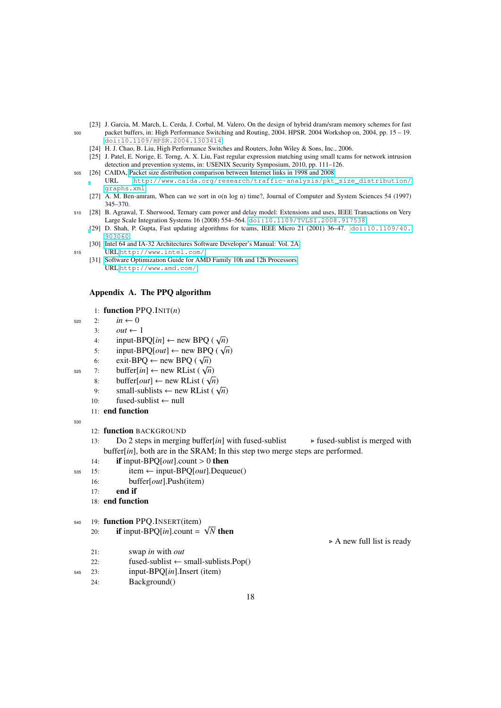- <span id="page-17-2"></span><span id="page-17-0"></span>[23] J. Garcia, M. March, L. Cerda, J. Corbal, M. Valero, On the design of hybrid dram/sram memory schemes for fast <sup>500</sup> packet buffers, in: High Performance Switching and Routing, 2004. HPSR. 2004 Workshop on, 2004, pp. 15 – 19. [doi:10.1109/HPSR.2004.1303414](http://dx.doi.org/10.1109/HPSR.2004.1303414).
	- [24] H. J. Chao, B. Liu, High Performance Switches and Routers, John Wiley & Sons, Inc., 2006.
	- [25] J. Patel, E. Norige, E. Torng, A. X. Liu, Fast regular expression matching using small tcams for network intrusion detection and prevention systems, in: USENIX Security Symposium, 2010, pp. 111–126.
- <span id="page-17-4"></span><span id="page-17-3"></span><sup>505</sup> [26] CAIDA, [Packet size distribution comparison between Internet links in 1998 and 2008.](http://www.caida.org/research/traffic-analysis/pkt_size_distribution/graphs.xml) URL [http://www.caida.org/research/traffic-analysis/pkt\\_size\\_distribution/](http://www.caida.org/research/traffic-analysis/pkt_size_distribution/graphs.xml) [graphs.xml](http://www.caida.org/research/traffic-analysis/pkt_size_distribution/graphs.xml)
	- [27] A. M. Ben-amram, When can we sort in o(n log n) time?, Journal of Computer and System Sciences 54 (1997) 345–370.
- <span id="page-17-7"></span><span id="page-17-6"></span><span id="page-17-5"></span><sup>510</sup> [28] B. Agrawal, T. Sherwood, Ternary cam power and delay model: Extensions and uses, IEEE Transactions on Very Large Scale Integration Systems 16 (2008) 554–564. [doi:10.1109/TVLSI.2008.917538](http://dx.doi.org/10.1109/TVLSI.2008.917538).
	- [\[](http://dx.doi.org/10.1109/40.903060)29] D. Shah, P. Gupta, Fast updating algorithms for tcams, IEEE Micro 21 (2001) 36–47. [doi:10.1109/40.](http://dx.doi.org/10.1109/40.903060) [903060](http://dx.doi.org/10.1109/40.903060).
- <span id="page-17-9"></span><span id="page-17-8"></span>[30] [Intel 64 and IA-32 Architectures Software Developer's Manual: Vol. 2A.](http://www.intel.com/) <sup>515</sup> URL <http://www.intel.com/>
	- [31] [Software Optimization Guide for AMD Family 10h and 12h Processors.](http://www.amd.com/) URL <http://www.amd.com/>

## <span id="page-17-1"></span>Appendix A. The PPQ algorithm

## 1: function PPQ.INIT(*n*)

- $520 \t 2: \t in \leftarrow 0$ 
	- 3:  $out \leftarrow 1$
	- 4:  $i$  input-BPQ[*in*] ← new BPQ ( $\sqrt{n}$ )
	- 4: input-BPQ[*out*] ← new BPQ ( $\sqrt{n}$ )<br>5: input-BPQ[*out*] ← new BPQ ( $\sqrt{n}$ )
	- 5: Input-BPQ ( $\leftarrow$  new BPQ ( $\sqrt{n}$ )<br>6: exit-BPQ ← new BPQ ( $\sqrt{n}$ )
- 6: **exit-BPQ** ← liew BPQ ( $\sqrt{n}$ )<br>525 7: **buffer**[*in*] ← new RList ( $\sqrt{n}$ )
	- 8: buffer[*out*]  $\leftarrow$  new RList ( $\sqrt{n}$ )<br>8: buffer[*out*]  $\leftarrow$  new RList ( $\sqrt{n}$ )
	- 8:  $\text{bullet}[\omega u] \leftarrow \text{new RList}(\sqrt{n})$ <br>9: small-sublists ← new RList ( $\sqrt{n}$ )
	- 10: fused-sublist ← null
	- 11: end function
- 530
- 12: function BACKGROUND
- 13: Do 2 steps in merging buffer[*in*] with fused-sublist  $\rightarrow$  fused-sublist is merged with buffer[*in*], both are in the SRAM; In this step two merge steps are performed.
- 14: **if** input-BPQ[*out*].count > 0 **then**<br>15: **i**tem  $\leftarrow$  input-BPQ[*out*].Deque
- <sup>535</sup> 15: item ← input-BPQ[*out*].Dequeue()
	- 16: buffer[*out*].Push(item)
	- $17:$  end if
	- 18: end function
- <sup>540</sup> 19: function PPQ.INSERT(item)
	- 20: **if** input-BPQ[*in*].count = √ *N* then
	- 21: swap *in* with *out*
	- 22: fused-sublist  $\leftarrow$  small-sublists. Pop()
- <sup>545</sup> 23: input-BPQ[*in*].Insert (item)
	- 24: Background()

 $\triangleright$  A new full list is ready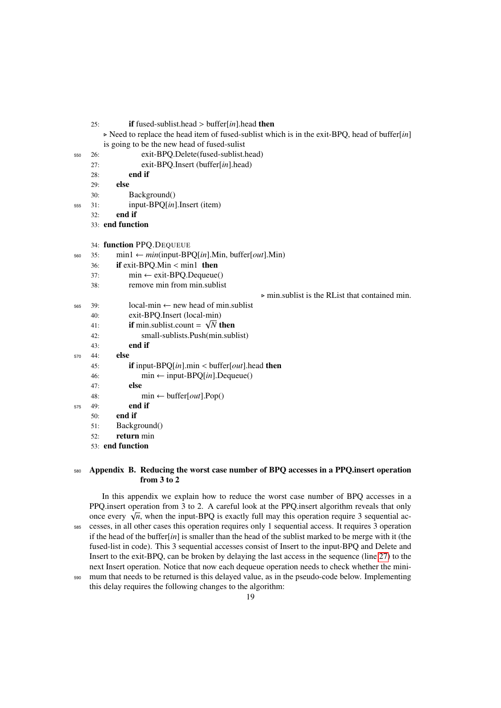25: if fused-sublist.head > buffer[*in*].head then

 $\triangleright$  Need to replace the head item of fused-sublist which is in the exit-BPO, head of buffer[*in*] is going to be the new head of fused-sulist

- <sup>550</sup> 26: exit-BPQ.Delete(fused-sublist.head)
	- 27: exit-BPQ.Insert (buffer[*in*].head)
	- 28: end if
	- 29: else
	- 30: Background()
- <sup>555</sup> 31: input-BPQ[*in*].Insert (item)
	- 32: end if
	- 33: end function

34: function PPQ.DEQUEUE

- 560 35:  $min1 \leftarrow min(input-BPO[in].Min, buffer[out].Min)$ 
	- 36: **if** exit-BPQ.Min < min1 **then**<br>37:  $\text{min} \leftarrow \text{exit-BPQ.Dequeue}$
	- $\text{min} \leftarrow \text{exit-BPQ}.\text{Dequeue}()$
	- 38: remove min from min.sublist

 $\triangleright$  min.sublist is the RList that contained min.

- $565$  39: local-min ← new head of min.sublist
	- 40: exit-BPQ.Insert (local-min) √
		- 41: **if** min.sublist.count =  $\sqrt{N}$  then
		- 42: small-sublists.Push(min.sublist)
	- 43: end if
- <sup>570</sup> 44: else
	- 45: **if** input-BPQ $[in]$ .min < buffer $[out]$ .head **then**<br>46: **in**  $\leftarrow$  **input-BPO** $[in]$ . Dequase () 46: min ← input-BPQ[*in*].Dequeue()
	- 47: else
		- 48: min ← buffer[*out*].Pop()
- <sup>575</sup> 49: end if
	- 50: end if
	- 51: Background()
	- 52: return min
	- 53: end function

## <span id="page-18-0"></span>580 Appendix B. Reducing the worst case number of BPQ accesses in a PPQ insert operation from 3 to 2

In this appendix we explain how to reduce the worst case number of BPQ accesses in a PPQ.insert operation from 3 to 2. A careful look at the PPQ.insert algorithm reveals that only  $P_{\text{PQ}}$  insert operation from 5 to 2. A careful flock at the PPQ insert algorithm reveals that only once every  $\sqrt{n}$ , when the input-BPQ is exactly full may this operation require 3 sequential ac-<sup>585</sup> cesses, in all other cases this operation requires only 1 sequential access. It requires 3 operation if the head of the buffer[*in*] is smaller than the head of the sublist marked to be merge with it (the fused-list in code). This 3 sequential accesses consist of Insert to the input-BPQ and Delete and Insert to the exit-BPQ, can be broken by delaying the last access in the sequence (line [27\)](#page-17-1) to the next Insert operation. Notice that now each dequeue operation needs to check whether the mini-<sup>590</sup> mum that needs to be returned is this delayed value, as in the pseudo-code below. Implementing

this delay requires the following changes to the algorithm: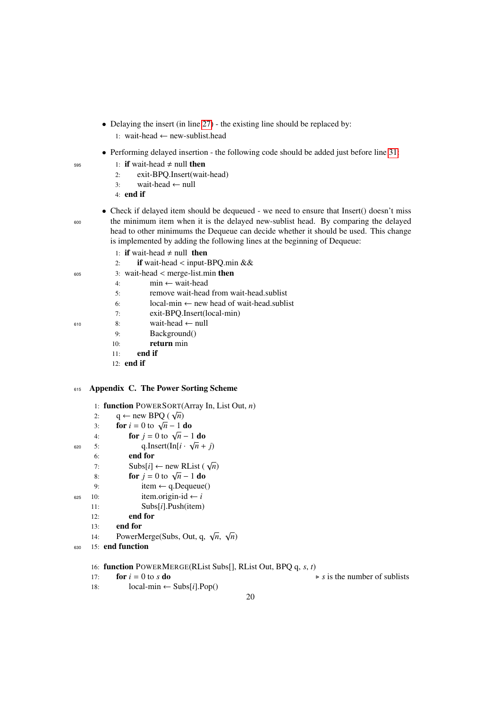- Delaying the insert (in line [27\)](#page-17-1) the existing line should be replaced by: 1: wait-head ← new-sublist.head
- Performing delayed insertion the following code should be added just before line [31:](#page-17-1)
- 595 1: **if** wait-head  $\neq$  null **then** 
	- 2: exit-BPQ.Insert(wait-head)
	- 3: wait-head ← null
	- 4: end if
- Check if delayed item should be dequeued we need to ensure that Insert() doesn't miss <sup>600</sup> the minimum item when it is the delayed new-sublist head. By comparing the delayed head to other minimums the Dequeue can decide whether it should be used. This change is implemented by adding the following lines at the beginning of Dequeue:
	- 1: if wait-head  $\neq$  null then
	- 2: **if** wait-head < input-BPQ.min &&<br>3: wait-head < merge-list.min **then**
- 605 3: wait-head < merge-list.min then<br>  $\begin{array}{r} 4 \cdot \text{min} \leftarrow \text{wait-head} \end{array}$ 
	- 4: min ← wait-head
	- 5: remove wait-head from wait-head.sublist
	- 6: local-min  $\leftarrow$  new head of wait-head.sublist
	- 7: exit-BPQ.Insert(local-min)
- $610$  8: wait-head ← null
	- 9: Background()
	- 10: return min
	- 11: end if
	- 12: end if

## <span id="page-19-0"></span><sup>615</sup> Appendix C. The Power Sorting Scheme

- 1: function POWERSORT(Array In, List Out, *n*)
- 1: **IUNCHON** POWERSORT(<br>2:  $q \leftarrow new BPQ(\sqrt{n})$
- 2:  $q \leftarrow$  new **DPQ** ( $\sqrt{n}$ )<br>3: **for** *i* = 0 to  $\sqrt{n}$  − 1 **do**
- 3: **for**  $j = 0$  to  $\sqrt{n-1}$  do<br>4: **for**  $j = 0$  to  $\sqrt{n-1}$  do
- 620 5: q.Insert(In[ $i \cdot \sqrt{n} + j$ )
- 6: end for
	- $\begin{array}{lll} \text{or} & \text{end for} \\ \text{Thus}[i] &\leftarrow \text{new RList } (\sqrt{n}) \end{array}$
	- 8: **for**  $j = 0$  to  $\sqrt{n} 1$  do
	- 9: item  $\leftarrow$  q.Dequeue()
- $625 \t10$ : item.origin-id ← *i* 
	- 11: Subs[*i*].Push(item)
	- 12: end for
	- 13: end for
	- 14: **PowerMerge(Subs, Out, q,**  $\sqrt{n}$ **,**  $\sqrt{n}$ )
- <sup>630</sup> 15: end function
	- 16: function POWERMERGE(RList Subs[], RList Out, BPQ q, *s*, *t*)
	-
	- 17: **for**  $i = 0$  to *s* **do** .  $\triangleright$  **s** is the number of sublists local-min  $\leftarrow$  Subs[*i*]. Pop()  $local-min \leftarrow Subs[i].Pop()$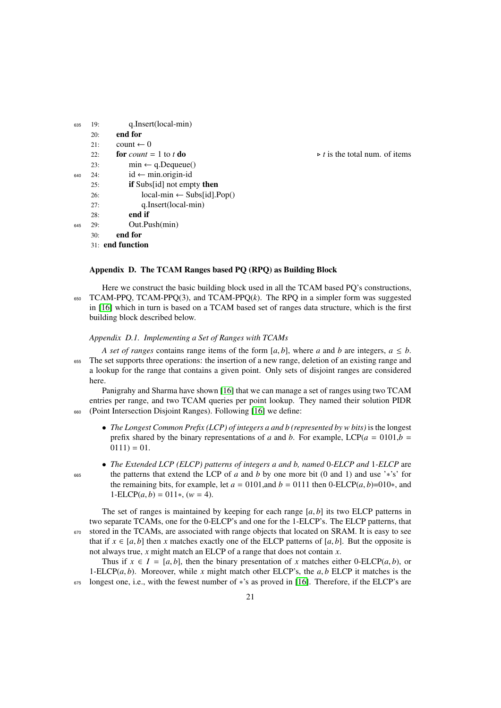| 635 | 19: | q.Insert(local-min)                      |
|-----|-----|------------------------------------------|
|     | 20: | end for                                  |
|     | 21: | count $\leftarrow$ 0                     |
|     | 22: | for <i>count</i> = 1 to t do             |
|     | 23: | $min \leftarrow q$ . Dequeue()           |
| 640 | 24: | $id \leftarrow min. origin-id$           |
|     | 25: | <b>if</b> Subs[id] not empty <b>then</b> |
|     | 26: | $local-min \leftarrow Subs-id].Pop()$    |
|     | 27: | q.Insert(local-min)                      |
|     | 28: | end if                                   |
| 645 | 29: | Out.Push(min)                            |
|     | 30: | end for                                  |
|     |     | 31: <b>end function</b>                  |

 $\triangleright t$  is the total num. of items

## <span id="page-20-0"></span>Appendix D. The TCAM Ranges based PQ (RPQ) as Building Block

Here we construct the basic building block used in all the TCAM based PQ's constructions,  $650$  TCAM-PPQ, TCAM-PPQ(3), and TCAM-PPQ(k). The RPQ in a simpler form was suggested in [\[16\]](#page-16-15) which in turn is based on a TCAM based set of ranges data structure, which is the first building block described below.

## *Appendix D.1. Implementing a Set of Ranges with TCAMs*

*A set of ranges* contains range items of the form [ $a$ ,  $b$ ], where  $a$  and  $b$  are integers,  $a \leq b$ . The set supports three operations: the insertion of a new range, deletion of an existing range and a lookup for the range that contains a given point. Only sets of disjoint ranges are considered here.

Panigrahy and Sharma have shown [\[16\]](#page-16-15) that we can manage a set of ranges using two TCAM entries per range, and two TCAM queries per point lookup. They named their solution PIDR <sup>660</sup> (Point Intersection Disjoint Ranges). Following [\[16\]](#page-16-15) we define:

- *The Longest Common Prefix (LCP) of integers a and b (represented by w bits)* is the longest prefix shared by the binary representations of *a* and *b*. For example, LCP( $a = 0101$ , $b =$  $0111 = 01.$
- *The Extended LCP (ELCP) patterns of integers a and b, named* 0*-ELCP and* 1*-ELCP* are <sup>665</sup> the patterns that extend the LCP of *a* and *b* by one more bit (0 and 1) and use '∗'s' for the remaining bits, for example, let  $a = 0101$ , and  $b = 0111$  then 0-ELCP( $a, b$ )=010<sup>\*</sup>, and  $1-ELCP(a, b) = 011*, (w = 4).$

The set of ranges is maintained by keeping for each range  $[a, b]$  its two ELCP patterns in two separate TCAMs, one for the 0-ELCP's and one for the 1-ELCP's. The ELCP patterns, that  $670$  stored in the TCAMs, are associated with range objects that located on SRAM. It is easy to see that if  $x \in [a, b]$  then *x* matches exactly one of the ELCP patterns of  $[a, b]$ . But the opposite is not always true, *x* might match an ELCP of a range that does not contain *x*.

Thus if  $x \in I = [a, b]$ , then the binary presentation of x matches either 0-ELCP(*a*, *b*), or 1-ELCP $(a, b)$ . Moreover, while *x* might match other ELCP's, the  $a, b$  ELCP it matches is the <sup>675</sup> longest one, i.e., with the fewest number of ∗'s as proved in [\[16\]](#page-16-15). Therefore, if the ELCP's are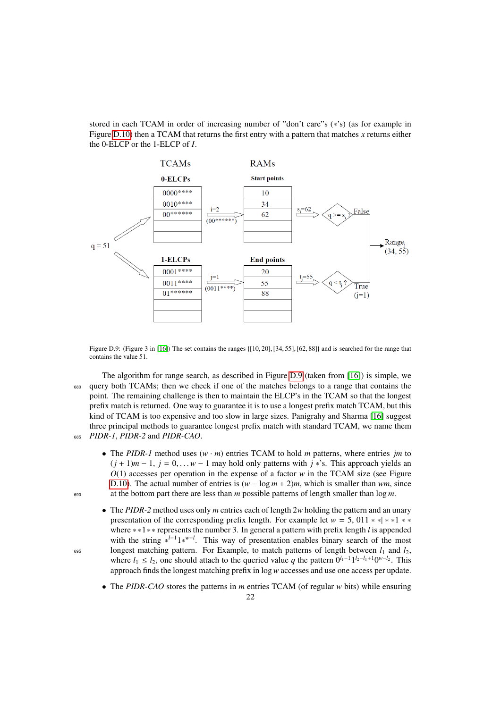stored in each TCAM in order of increasing number of "don't care"s (\*'s) (as for example in Figure [D.10\)](#page-22-0) then a TCAM that returns the first entry with a pattern that matches  $x$  returns either the 0-ELCP or the 1-ELCP of *I*.



<span id="page-21-0"></span>Figure D.9: (Figure 3 in [\[16\]](#page-16-15)) The set contains the ranges {[10, 20], [34, 55], [62, 88]} and is searched for the range that contains the value 51.

The algorithm for range search, as described in Figure [D.9](#page-21-0) (taken from [\[16\]](#page-16-15)) is simple, we <sup>680</sup> query both TCAMs; then we check if one of the matches belongs to a range that contains the point. The remaining challenge is then to maintain the ELCP's in the TCAM so that the longest prefix match is returned. One way to guarantee it is to use a longest prefix match TCAM, but this kind of TCAM is too expensive and too slow in large sizes. Panigrahy and Sharma [\[16\]](#page-16-15) suggest three principal methods to guarantee longest prefix match with standard TCAM, we name them <sup>685</sup> *PIDR-1*, *PIDR-2* and *PIDR-CAO*.

- The *PIDR-1* method uses  $(w \cdot m)$  entries TCAM to hold *m* patterns, where entries *jm* to  $(j + 1)m - 1$ ,  $j = 0,... w - 1$  may hold only patterns with  $j *$ 's. This approach yields an *O*(1) accesses per operation in the expense of a factor *w* in the TCAM size (see Figure [D.10\)](#page-22-0). The actual number of entries is (*w* − log *m* + 2)*m*, which is smaller than *wm*, since <sup>690</sup> at the bottom part there are less than *m* possible patterns of length smaller than log *m*.
- The *PIDR-2* method uses only *m* entries each of length 2*w* holding the pattern and an unary presentation of the corresponding prefix length. For example let  $w = 5$ , 011  $*$  \*  $*$  \* \* where ∗∗1∗∗ represents the number 3. In general a pattern with prefix length *l* is appended with the string \*<sup>*l*−1</sup>1<sup>\**w*−*l*</sup>. This way of presentation enables binary search of the most  $\frac{695}{100}$  longest matching pattern. For Example, to match patterns of length between  $l_1$  and  $l_2$ , where  $l_1 \leq l_2$ , one should attach to the queried value q the pattern  $0^{l_1-1} 1^{l_2-l_1+1} 0^{w-l_2}$ . This approach finds the longest matching prefix in log*w* accesses and use one access per update.
	- The *PIDR-CAO* stores the patterns in *m* entries TCAM (of regular *w* bits) while ensuring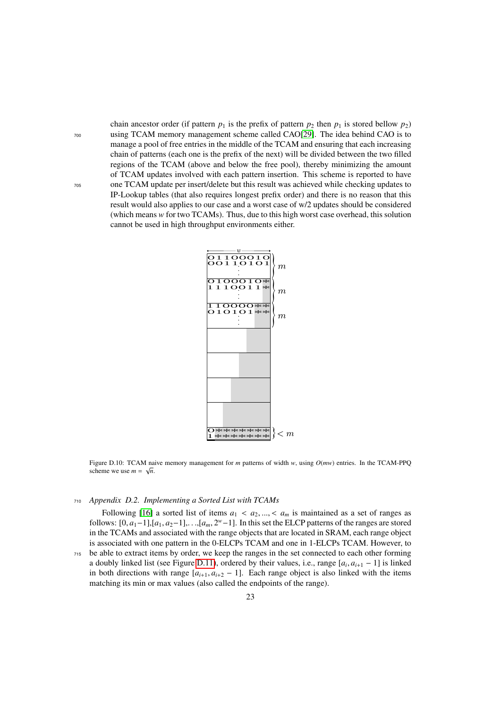chain ancestor order (if pattern  $p_1$  is the prefix of pattern  $p_2$  then  $p_1$  is stored bellow  $p_2$ ) <sup>700</sup> using TCAM memory management scheme called CAO[\[29\]](#page-17-7). The idea behind CAO is to manage a pool of free entries in the middle of the TCAM and ensuring that each increasing chain of patterns (each one is the prefix of the next) will be divided between the two filled regions of the TCAM (above and below the free pool), thereby minimizing the amount of TCAM updates involved with each pattern insertion. This scheme is reported to have <sup>705</sup> one TCAM update per insert/delete but this result was achieved while checking updates to IP-Lookup tables (that also requires longest prefix order) and there is no reason that this result would also applies to our case and a worst case of w/2 updates should be considered (which means *w* for two TCAMs). Thus, due to this high worst case overhead, this solution cannot be used in high throughput environments either.



<span id="page-22-0"></span>Figure D.10: TCAM naive memory management for *m* patterns of width *w*, using  $O(mw)$  entries. In the TCAM-PPQ scheme we use  $m = \sqrt{n}$ .

## <sup>710</sup> *Appendix D.2. Implementing a Sorted List with TCAMs*

<span id="page-22-1"></span>Following [\[16\]](#page-16-15) a sorted list of items  $a_1 < a_2, ..., < a_m$  is maintained as a set of ranges as follows:  $[0, a_1-1]$ , $[a_1, a_2-1]$ ,. .., $[a_m, 2^w-1]$ . In this set the ELCP patterns of the ranges are stored<br>in the TCAMs and associated with the range objects that are located in SRAM, each range object in the TCAMs and associated with the range objects that are located in SRAM, each range object is associated with one pattern in the 0-ELCPs TCAM and one in 1-ELCPs TCAM. However, to

<sup>715</sup> be able to extract items by order, we keep the ranges in the set connected to each other forming a doubly linked list (see Figure [D.11\)](#page-23-2), ordered by their values, i.e., range  $[a_i, a_{i+1} - 1]$  is linked<br>in both directions with range  $[a_i, a_i]$ ,  $\in \mathbb{R}$  Fach range object is also linked with the items in both directions with range  $[a_{i+1}, a_{i+2} - 1]$ . Each range object is also linked with the items matching its min or max values (also called the endpoints of the range).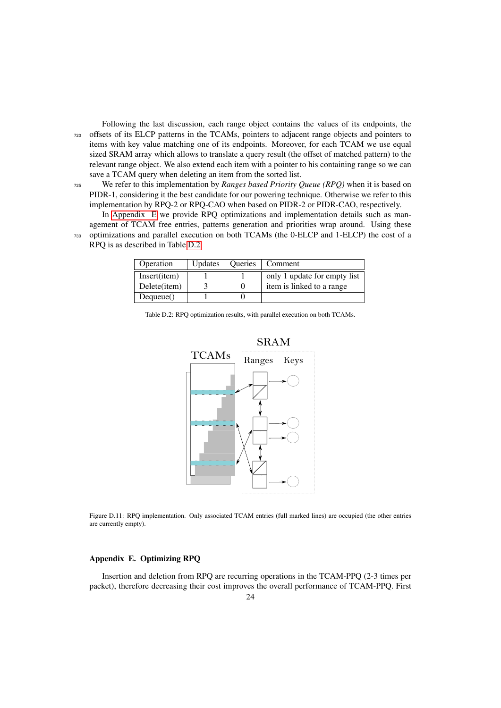Following the last discussion, each range object contains the values of its endpoints, the <sup>720</sup> offsets of its ELCP patterns in the TCAMs, pointers to adjacent range objects and pointers to items with key value matching one of its endpoints. Moreover, for each TCAM we use equal sized SRAM array which allows to translate a query result (the offset of matched pattern) to the relevant range object. We also extend each item with a pointer to his containing range so we can save a TCAM query when deleting an item from the sorted list.

<sup>725</sup> We refer to this implementation by *Ranges based Priority Queue (RPQ)* when it is based on PIDR-1, considering it the best candidate for our powering technique. Otherwise we refer to this implementation by RPQ-2 or RPQ-CAO when based on PIDR-2 or PIDR-CAO, respectively.

In [Appendix E](#page-23-0) we provide RPQ optimizations and implementation details such as management of TCAM free entries, patterns generation and priorities wrap around. Using these <sup>730</sup> optimizations and parallel execution on both TCAMs (the 0-ELCP and 1-ELCP) the cost of a RPQ is as described in Table [D.2.](#page-23-1)

| Operation    | <b>U</b> pdates | <b>Oueries</b> | Comment                      |
|--------------|-----------------|----------------|------------------------------|
| Insert(item) |                 |                | only 1 update for empty list |
| Delete(item) |                 |                | item is linked to a range    |
| Dequeue()    |                 |                |                              |

Table D.2: RPQ optimization results, with parallel execution on both TCAMs.

<span id="page-23-1"></span>

<span id="page-23-2"></span>Figure D.11: RPQ implementation. Only associated TCAM entries (full marked lines) are occupied (the other entries are currently empty).

## <span id="page-23-0"></span>Appendix E. Optimizing RPQ

Insertion and deletion from RPQ are recurring operations in the TCAM-PPQ (2-3 times per packet), therefore decreasing their cost improves the overall performance of TCAM-PPQ. First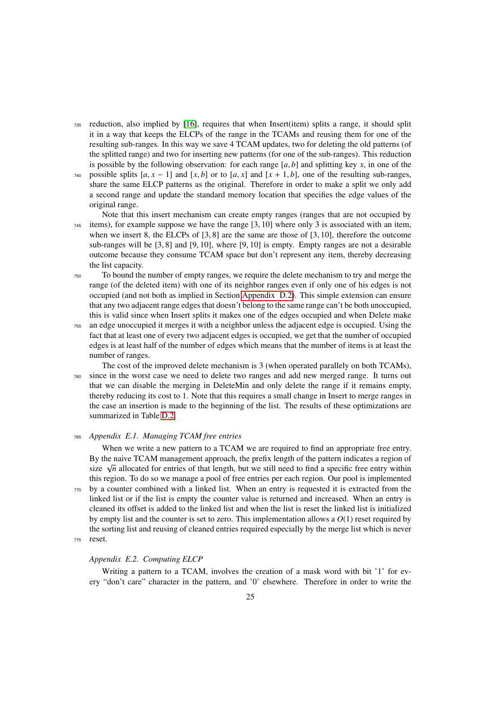- <sup>735</sup> reduction, also implied by [\[16\]](#page-16-15), requires that when Insert(item) splits a range, it should split it in a way that keeps the ELCPs of the range in the TCAMs and reusing them for one of the resulting sub-ranges. In this way we save 4 TCAM updates, two for deleting the old patterns (of the splitted range) and two for inserting new patterns (for one of the sub-ranges). This reduction is possible by the following observation: for each range  $[a, b]$  and splitting key *x*, in one of the
- 740 possible splits  $[a, x 1]$  and  $[x, b]$  or to  $[a, x]$  and  $[x + 1, b]$ , one of the resulting sub-ranges, share the same ELCP patterns as the original. Therefore in order to make a split we only add a second range and update the standard memory location that specifies the edge values of the original range.

Note that this insert mechanism can create empty ranges (ranges that are not occupied by <sup>745</sup> items), for example suppose we have the range [3, 10] where only <sup>3</sup> is associated with an item, when we insert 8, the ELCPs of  $[3, 8]$  are the same are those of  $[3, 10]$ , therefore the outcome sub-ranges will be  $[3, 8]$  and  $[9, 10]$ , where  $[9, 10]$  is empty. Empty ranges are not a desirable outcome because they consume TCAM space but don't represent any item, thereby decreasing the list capacity.

- <sup>750</sup> To bound the number of empty ranges, we require the delete mechanism to try and merge the range (of the deleted item) with one of its neighbor ranges even if only one of his edges is not occupied (and not both as implied in Section [Appendix D.2\)](#page-22-1). This simple extension can ensure that any two adjacent range edges that doesn't belong to the same range can't be both unoccupied, this is valid since when Insert splits it makes one of the edges occupied and when Delete make
- <sup>755</sup> an edge unoccupied it merges it with a neighbor unless the adjacent edge is occupied. Using the fact that at least one of every two adjacent edges is occupied, we get that the number of occupied edges is at least half of the number of edges which means that the number of items is at least the number of ranges.

The cost of the improved delete mechanism is 3 (when operated parallely on both TCAMs), <sup>760</sup> since in the worst case we need to delete two ranges and add new merged range. It turns out that we can disable the merging in DeleteMin and only delete the range if it remains empty, thereby reducing its cost to 1. Note that this requires a small change in Insert to merge ranges in the case an insertion is made to the beginning of the list. The results of these optimizations are summarized in Table [D.2.](#page-23-1)

## <sup>765</sup> *Appendix E.1. Managing TCAM free entries*

When we write a new pattern to a TCAM we are required to find an appropriate free entry. By the naive TCAM management approach, the prefix length of the pattern indicates a region of By the naive TCAM management approach, the prenx length of the pattern mulcates a region of size  $\sqrt{n}$  allocated for entries of that length, but we still need to find a specific free entry within this region. To do so we manage a pool of free entries per each region. Our pool is implemented <sup>770</sup> by a counter combined with a linked list. When an entry is requested it is extracted from the linked list or if the list is empty the counter value is returned and increased. When an entry is cleaned its offset is added to the linked list and when the list is reset the linked list is initialized by empty list and the counter is set to zero. This implementation allows a *O*(1) reset required by the sorting list and reusing of cleaned entries required especially by the merge list which is never <sup>775</sup> reset.

#### *Appendix E.2. Computing ELCP*

Writing a pattern to a TCAM, involves the creation of a mask word with bit '1' for every "don't care" character in the pattern, and '0' elsewhere. Therefore in order to write the